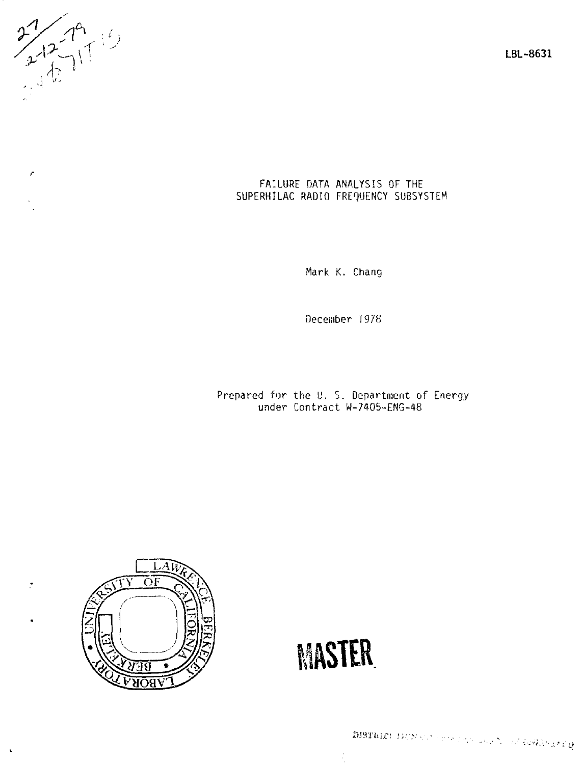$2729$ 

 $\mathcal{L}$ 

ž,

 $\ddot{\phantom{a}}$ 

**LBL-8631** 

### FAILURE DATA ANALYSIS OF THE SUPERHILAC RADIO FREQUENCY SUBSYSTEM

Mark K. Chang

December 1978

Prepared for the U. S. Department of Energy under Contract W-7405-ENG-48



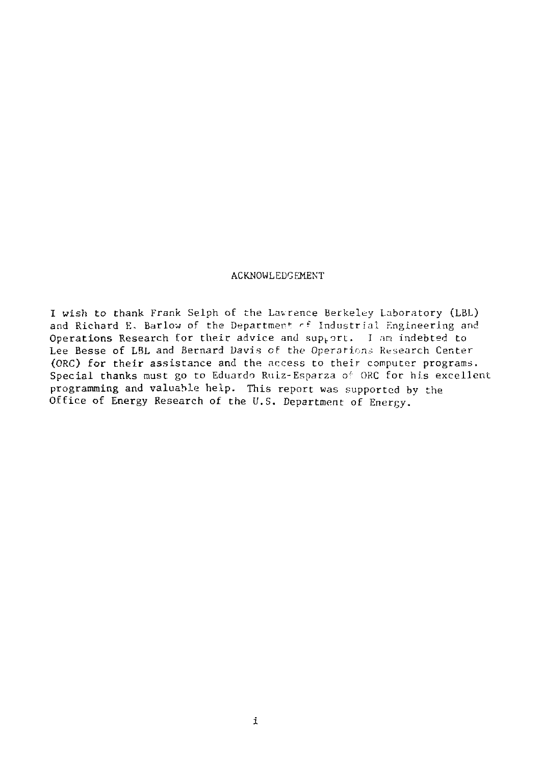#### ACKNOWLEDGEMENT

I wish to thank Frank Selph of the Lavrence Berkeley Laboratory (LBL) and Richard E. Barlow of the Department of Industrial Engineering and Operations Research for their advice and support. I am indebted to Lee Besse of LBL and Bernard Davis cf the Operations Research Center (ORC) for their assistance and the access to their computer programs. Special thanks must go to Eduardo Ruiz-Esparza o' ORC for his excellent programming and valuable help. This report was supported by the Office of Energy Research of the U.S. Department of Energy.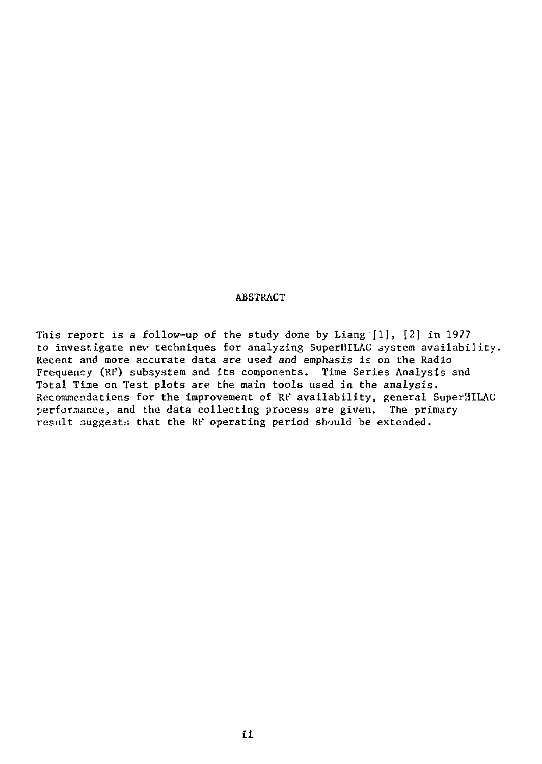#### ABSTRACT

This report is a follow-up of the study done by Liang [1], [2] in 1977 to investigate nev techniques for analyzing SuperHILAC system availability. Recent and more accurate data are used and emphasis is on the Radio Frequency (RF) subsystem and its components. Time Series Analysis and Total Time on Test plots are the main tools used in the analysis. Recommendations for the improvement of RF availability, general SuperHILAC performance, and the data collecting process are given. The primary result suggests that the RF operating period should be extended.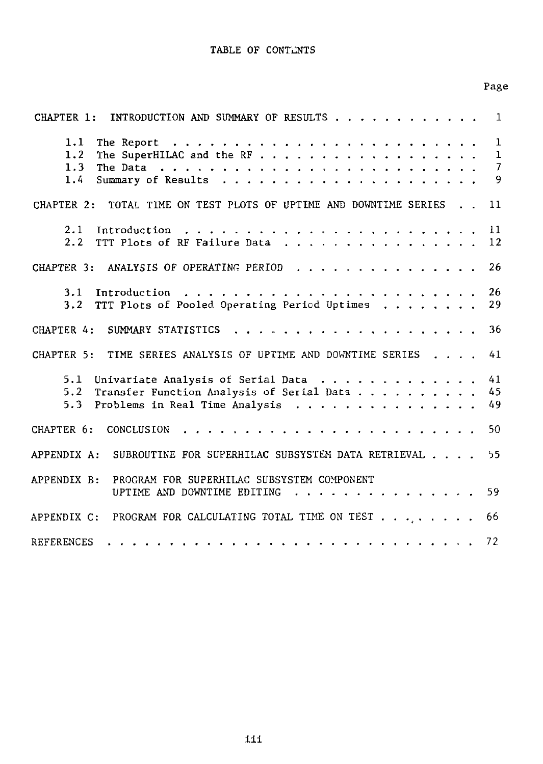#### TABLE OF CONTENTS

| CHAPTER 1: INTRODUCTION AND SUMMARY OF RESULTS                                                                                                 | 1                      |
|------------------------------------------------------------------------------------------------------------------------------------------------|------------------------|
| The SuperHILAC and the RF<br>1.2 <sub>1</sub><br>$1.3 -$<br>$1.4 -$                                                                            | $\mathbf{1}$<br>1<br>9 |
| CHAPTER 2: TOTAL TIME ON TEST PLOTS OF UPTIME AND DOWNTIME SERIES                                                                              | 11                     |
| 2.1<br>$2.2 -$<br>TTT Plots of RF Failure Data 12                                                                                              |                        |
| CHAPTER 3: ANALYSIS OF OPERATING PERIOD                                                                                                        | 26                     |
| TTT Plots of Pooled Operating Period Uptimes<br>3.2                                                                                            | 26<br>29               |
|                                                                                                                                                |                        |
| CHAPTER 5: TIME SERIES ANALYSIS OF UPTIME AND DOWNTIME SERIES                                                                                  | 41                     |
| 5.1 Univariate Analysis of Serial Data<br>Transfer Function Analysis of Serial Data 45<br>5.2<br>Problems in Real Time Analysis<br>- 49<br>5.3 | 41                     |
| CHAPTER 6:<br>CONCLUSION                                                                                                                       | 50                     |
| APPENDIX A: SUBROUTINE FOR SUPERHILAC SUBSYSTEM DATA RETRIEVAL                                                                                 | 55.                    |

UPTIME AND DOWNTIME EDITING . . . . . . . . . . . . . . . 59

APPENDIX C: PROGRAM FOR CALCULATING TOTAL TIME ON TEST  $\dots$ , . . . . . . 66 UPTIME AND DOWNTIME EDITING 59

Page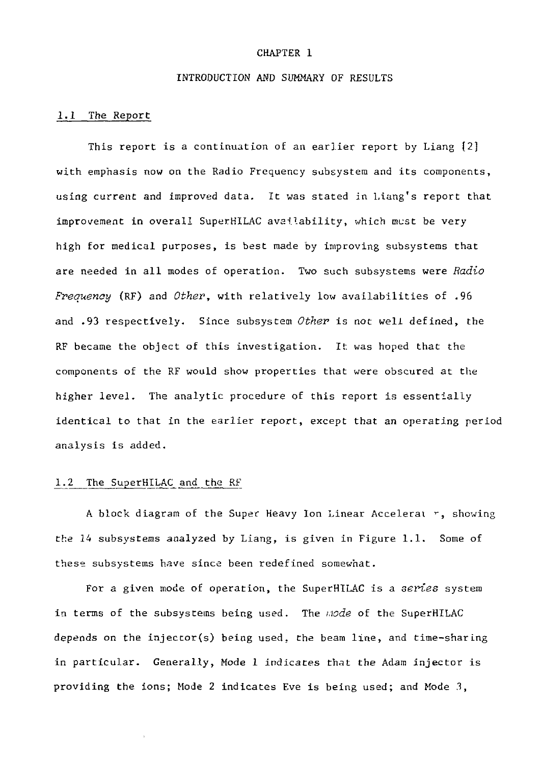#### CHAPTER 1

#### INTRODUCTION AND SUMMARY OF RESULTS

#### 1.1 The Report

This report is a continuation of an earlier report by Liang [2] with emphasis now on the Radio Frequency subsystem and its components, using current and improved data. It was stated in Liang's report that improvement in overall SuperHILAC availability, which must be very high for medical purposes, is best made by improving subsystems that are needed in all modes of operation. Two such subsystems were *Radio Frequency* (RF) and *Other,* with relatively low availabilities of .96 and .93 respectively. Since subsystem *Other* is not well defined, the RF became the object of this investigation. It was hoped that the components of the RF would show properties that were obscured at the higher level. The analytic procedure of this report is essentially identical to that in the earlier report, except that an operating period analysis is added.

#### 1.2 The SuperHILAC and the RF

A block diagram of the Super Heavy Ion Linear Accelerat  $r$ , showing the 14 subsystems analyzed by Liang, is given in Figure 1.1. Some of these subsystems have since been redefined somewhat.

For a given mode of operation, the SuperHILAC is a *series* system in terms of the subsystems being used. The *i.iode* of the SuperHILAC depends on the injector(s) being used, the beam line, and time-sharing in particular. Generally, Mode 1 indicates that the Adam injector is providing the ions; Mode 2 indicates Eve is being used; and Mode 3,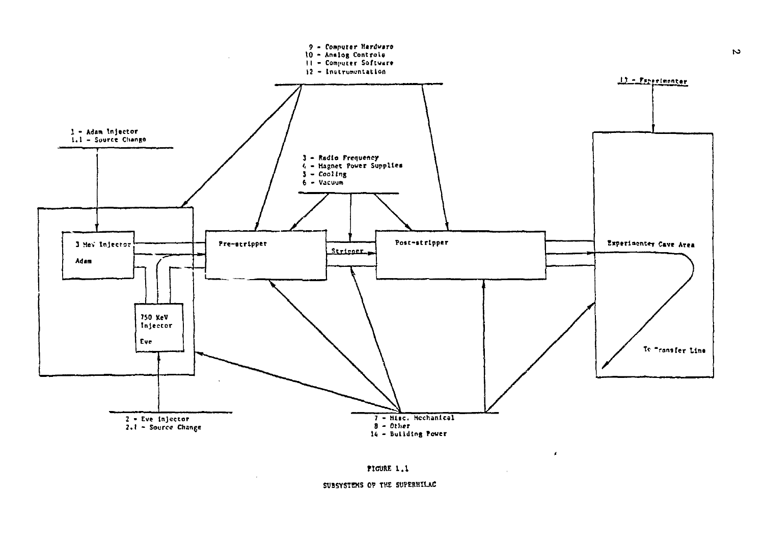



 $\mathcal{L}_{\mathcal{A}}$ 

#### SUBSYSTEMS OF THE SUPERHILAC

 $\mathcal{L}$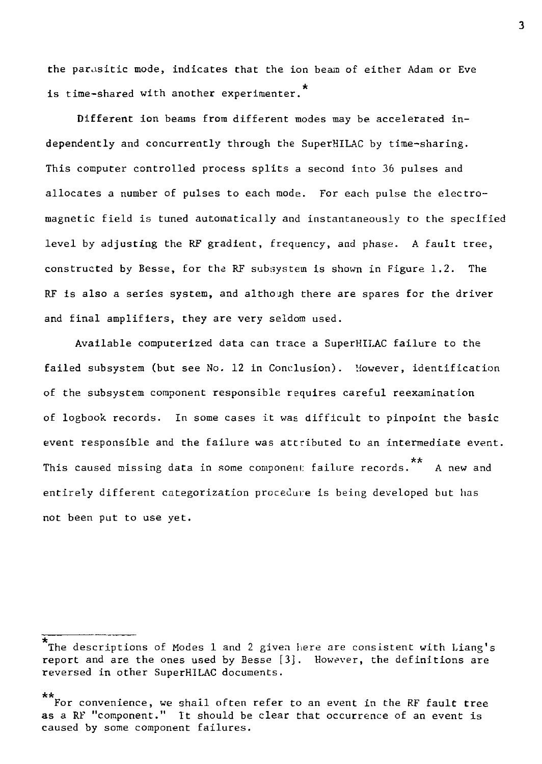the parasitic mode, indicates that the ion beam of either Adam or Eve is time-shared with another experimenter.

Different ion beams from different modes may be. accelerated independently and concurrently through the SuperHILAC by time-sharing. This computer controlled process splits a second into 36 pulses and allocates a number of pulses to each mode. For each pulse the electromagnetic field is tuned automatically and instantaneously to the specified level by adjusting the RF gradient, frequency, and phase. A fault tree, constructed by Besse, for the RF subsystem is shown in Figure 1.2. The RF is also a series system, and althojgh there are spares for the driver and final amplifiers, they are very seldom used.

Available computerized data can trace a SuperHILAC failure to the failed subsystem (but see No. 12 in Conclusion). However, identification of the subsystem component responsible requires careful reexamination of logbook records. In some cases it was difficult to pinpoint the basic event responsible and the failure was attributed to an intermediate event. This caused missing data in some component failure records. A new and entirely different categorization procedure Is being developed but has not been put to use yet.

The descriptions of Modes 1 and 2 given here are consistent with Liang's report and are the ones used by Besse [3]. However, the definitions are reversed in other SuperHILAC documents.

For convenience, we shail often refer to an event in the RF fault tree as a RF "component." It should be clear that occurrence of an event is as a RF "component" It should be clear that occurrence of an event is caused by some component failures.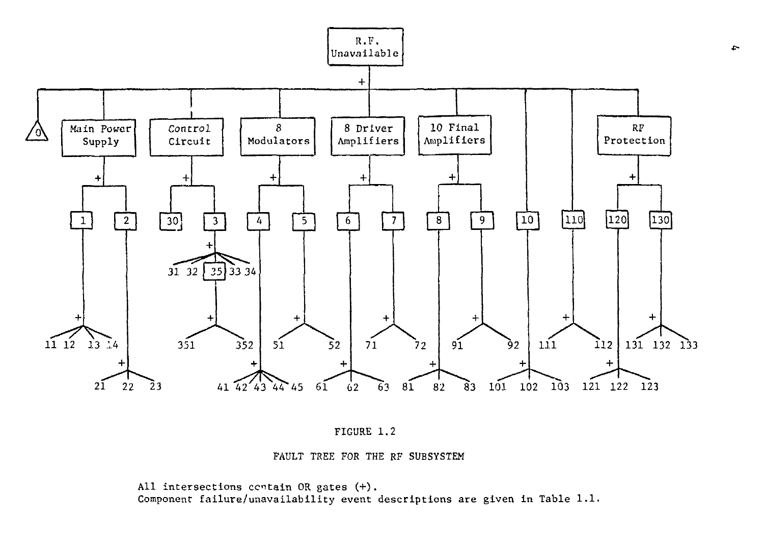



FAULT TREE FOR THE RF SUBSYSTEM

All intersections certain OR gates (+). Component failure/unavailability event descriptions are given in Table 1.1.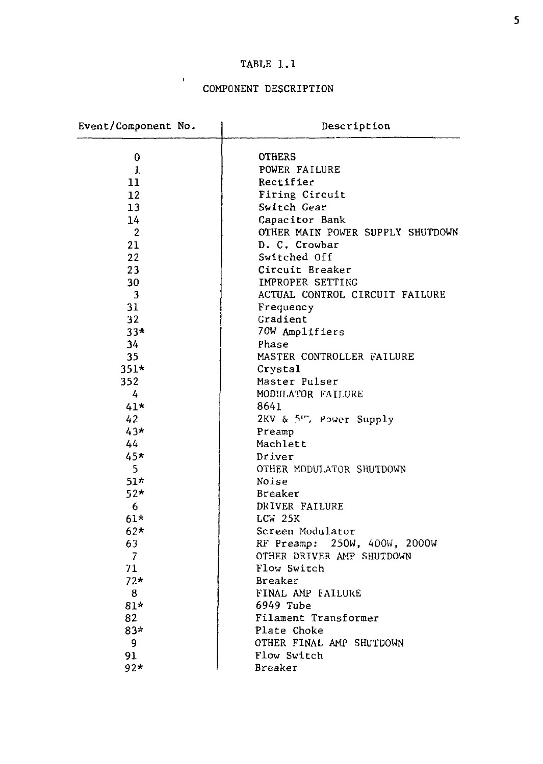## TABLE 1.1

### COMPONENT DESCRIPTION

 $\mathbf{r}$ 

| Event/Component No. | Description                      |
|---------------------|----------------------------------|
| 0                   | <b>OTHERS</b>                    |
| $\mathbf{1}$        | POWER FAILURE                    |
| 11                  | Rectifier                        |
| 12                  | Firing Circuit                   |
| 13                  | Switch Gear                      |
| 14                  | Capacitor Bank                   |
| 2                   | OTHER MAIN POWER SUPPLY SHUTDOWN |
| 21                  | D. C. Crowbar                    |
| 22                  | Switched Off                     |
| 23                  | Circuit Breaker                  |
| 30                  | IMPROPER SETTING                 |
| 3                   | ACTUAL CONTROL CIRCUIT FAILURE   |
| 31                  | Frequency                        |
| 32                  | Gradient                         |
| $33*$               | 70W Amplifiers                   |
| 34                  | Phase                            |
| 35                  | MASTER CONTROLLER FAILURE        |
| $351*$              | Crystal                          |
| 352                 | Master Pulser                    |
| 4                   | MODULATOR FAILURE                |
| $41*$               | 8641                             |
| 42                  | 2KV & 5r, Power Supply           |
| 43*                 | Preamp                           |
| 44                  | Machlett                         |
| 45*                 | Driver                           |
| 5                   | OTHER MODULATOR SHUTDOWN         |
| $51*$               | Noise                            |
| $52*$               | Breaker                          |
| 6                   | DRIVER FAILURE                   |
| $61*$               | LCW 25K                          |
| $62*$               | Screen Modulator                 |
| 63                  | RF Preamp: 250W, 400W, 2000W     |
| 7                   | OTHER DRIVER AMP SHUTDOWN        |
| 71                  | Flow Switch                      |
| $72*$               | Breaker                          |
| 8                   | FINAL AMP FAILURE                |
| 81*                 | 6949 Tube                        |
| 82                  | Filament Transformer             |
| 83*                 | Plate Choke                      |
| 9                   | OTHER FINAL AMP SHUTDOWN         |
| 91                  | Flow Switch                      |
| 92*                 | Breaker                          |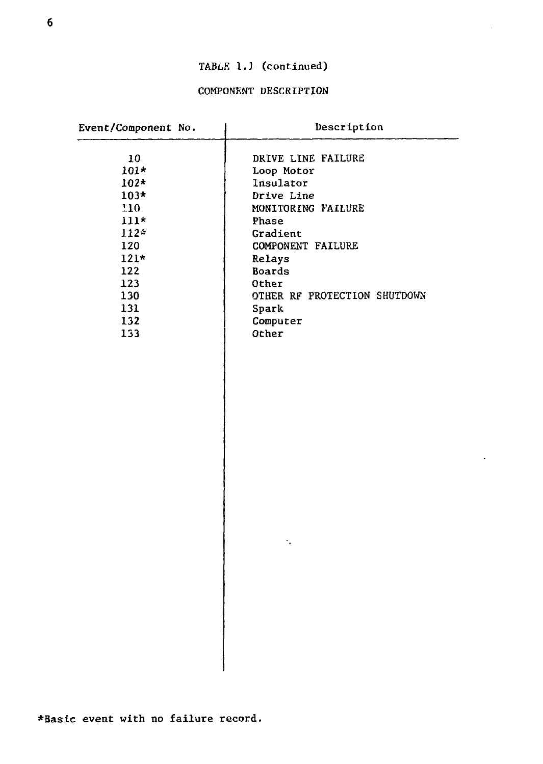## TABLE 1.1 (continued)

### COMPONENT DESCRIPTION

| Event/Component No. | Description                  |
|---------------------|------------------------------|
| 10                  | DRIVE LINE FAILURE           |
| $101*$              | Loop Motor                   |
| $102*$              | Insulator                    |
| $103*$              | Drive Line                   |
| 110                 | MONITORING FAILURE           |
| $111*$              | Phase                        |
| $112*$              | Gradient                     |
| 120                 | COMPONENT FAILURE            |
| $121*$              | Relays                       |
| 122                 | Boards                       |
| 123                 | <b>Other</b>                 |
| 130                 | OTHER RF PROTECTION SHUTDOWN |
| 131                 | Spark                        |
| 132                 | Computer                     |
| 133                 | Other                        |
|                     | ٠.                           |
|                     |                              |

l.

I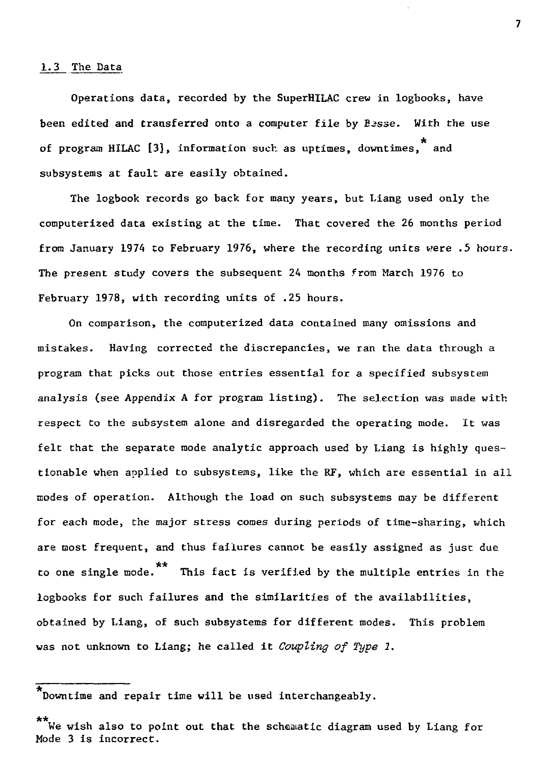#### 1.3 The Data

Operations data, recorded by the SuperHILAC crew in logbooks, have been edited and transferred onto a computer file by Besse. With the use of program HILAC [3], information such as uptimes, downtimes, and subsystems at fault are easily obtained.

The logbook records go back for many years, but Liang used only the computerized data existing at the time. That covered the 26 months period from January 1974 to February 1976, where the recording units were .5 hours. The present study covers the subsequent 24 months from March 1976 to February 1978, with recording units of .25 hours.

On comparison, the computerized data contained many omissions and mistakes. Having corrected the discrepancies, we ran the data through a program that picks out those entries essential for a specified subsystem analysis (see Appendix A for program listing). The selection was made with respect to the subsystem alone and disregarded the operating mode. It was felt that the separate mode analytic approach used by Liang is highly questionable when applied to subsystems, like the RF, which are essential in all modes of operation. Although the load on such subsystems may be different for each mode, the major stress comes during periods of time-sharing, which are most frequent, and thus failures cannot be easily assigned as just due \*\* to one single mode. This fact is verified by the multiple entries in the logbooks for such failures and the similarities of the availabilities, obtained by Liang, of such subsystems for different modes. This problem was not unknown to Liang; he called it *Coupling of Type 1.* 

Downtime and repair time will be used interchangeably.

<sup>\*\*</sup>  We wish also to point out that the schematic diagram used by Liang for Mode 3 is incorrect.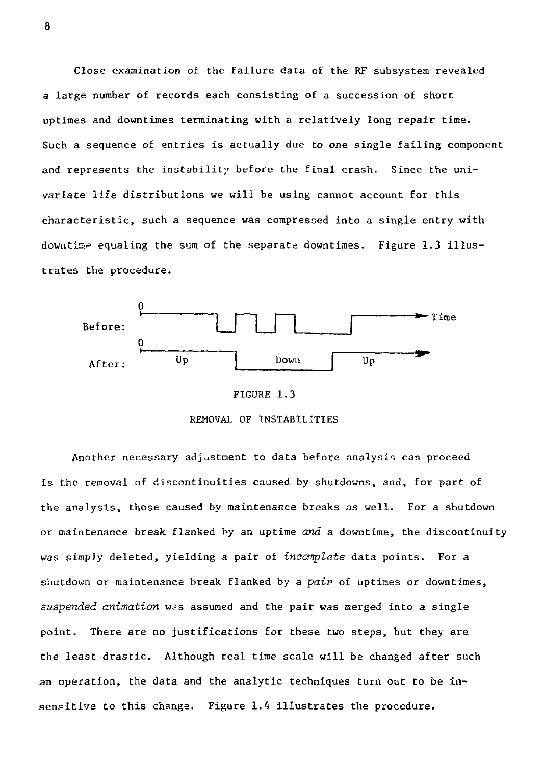Close examination of the failure data of the RF subsystem revealed a large number of records each consisting of a succession of short uptimes and downtimes terminating with a relatively long repair time. Such a sequence of entries is actually due to one single failing component and represents the instability before the final crash. Since the univariate life distributions we will be using cannot account for this characteristic, such a sequence was compressed into a single entry with downtime equaling the sum of the separate downtimes. Figure 1.3 illustrates the procedure.







Another necessary adjustment to data before analysis can proceed is the removal of discontinuities caused by shutdowns, and, for part of the analysis, those caused by maintenance breaks as well. For a shutdown or maintenance break flanked by an uptime *and* a downtime, the discontinuity was simply deleted, yielding a pair of *incomplete* data points. For a shutdown or maintenance break flanked by a *pair* of uptimes or downtimes, suspended animation was assumed and the pair was merged into a single point. There are no justifications for these two steps, but they are the least drastic. Although real time scale will be changed after such an operation, the data and the analytic techniques turn out to be insensitive to this change. Figure 1.4 illustrates the procedure.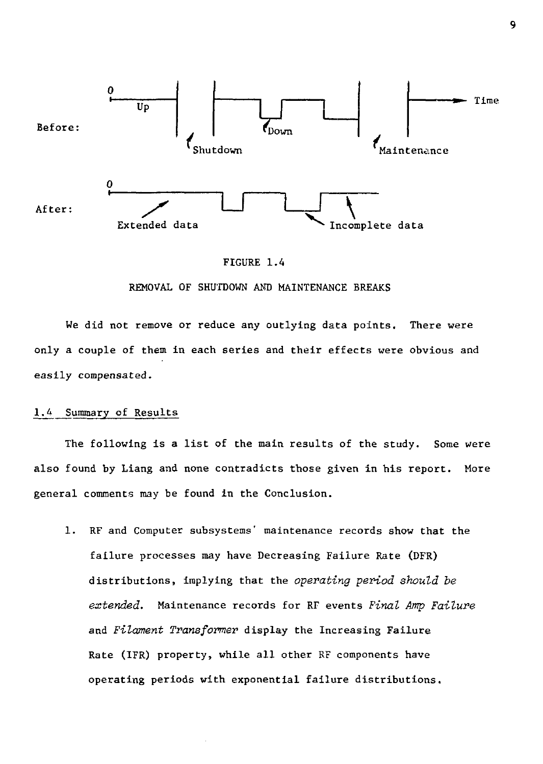

#### FIGURE 1.4

#### REMOVAL OF SHUTDOWN AMD MAINTENANCE BREAKS

We did not remove or reduce any outlying data points. There were only a couple of them in each series and their effects were obvious and easily compensated.

#### 1.4 Summary of Results

The following is a list of the main results of the study. Some were also found by Liang and none contradicts those given in his report. More general comments may be found in the Conclusion.

1. RF and Computer subsystems' maintenance records show that the failure processes may have Decreasing Failure Rate (DFR) distributions, implying that the *operating period should be extended.* Maintenance records for RF events *Final Amp Failure*  and *Filament Transformer* display the Increasing Failure Rate (IFR) property, while all other RF components have operating periods with exponential failure distributions.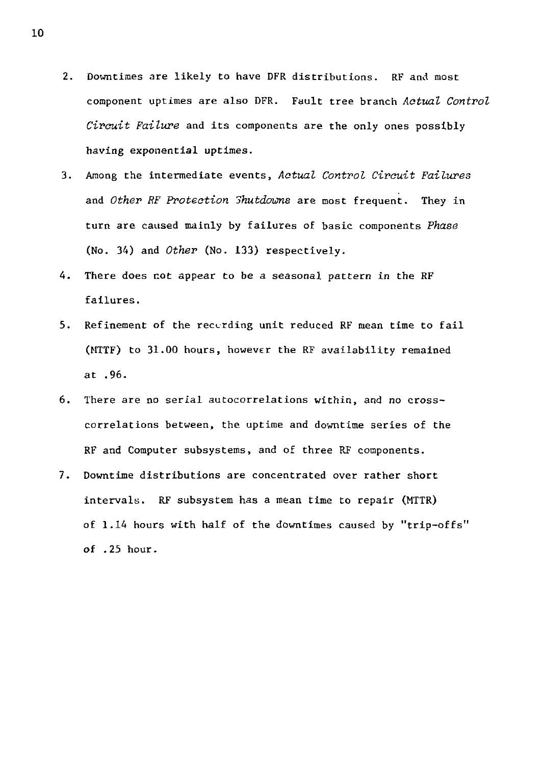- 2. Downtimes are likely to have DFR distributions. RF and most component uptimes are also DFR. Fault tree branch *Aatual Control Circuit Failure* and its components are the only ones possibly having exponential uptimes.
- 3. Among the intermediate events, *Aatual Control Circuit Failures*  and *Other RF Protection Shutdowns* are most frequent. They in turn are caused mainly by failures of basic components *Phase*  (No. 34) and *Other* (No. 133) respectively.
- 4. There does not appear to be a seasonal pattern in the RF failures.
- 5. Refinement of the recording unit reduced RF mean time to fail (MTTF) to 31.00 hours, however the RF availability remained at .96.
- 6. There are no serial autocorrelations within, and no crosscorrelations between, the uptime and downtime series of the RF and Computer subsystems, and of three RF components.
- 7. Downtime distributions are concentrated over rather short intervals. RF subsystem has a mean time to repair (MTTR) of 1.14 hours with half of the downtimes caused by "trip-offs" of .25 hour.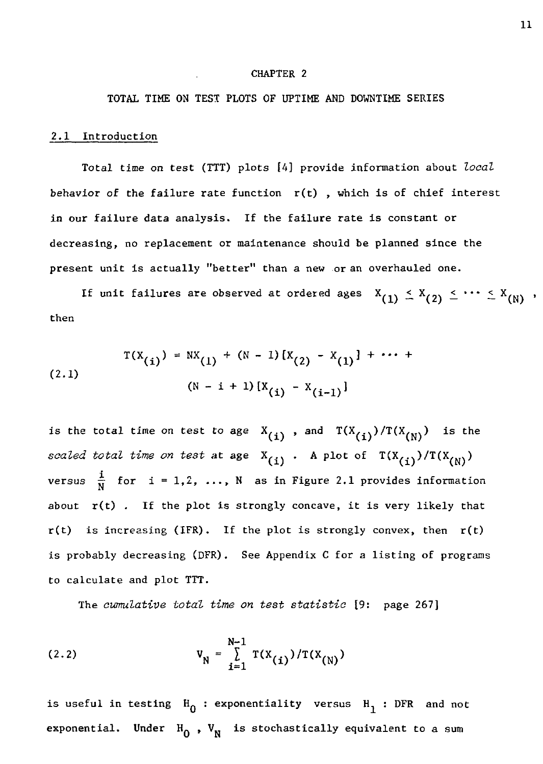#### CHAPTER 2

### TOTAL TIME ON TEST PLOTS OF UPTIME AND DOWNTIME SERIES

#### 2.1 Introduction

Total time *on* test (TTT) plots [4] provide information about *local*  behavior of the failure rate function  $r(t)$ , which is of chief interest in our failure data analysis. If the failure rate is constant or decreasing, no replacement or maintenance should be planned since the present unit is actually "better" than a new or an overhauled one.

If unit failures are observed at ordered ages  $X_{(1)} \leq X_{(2)} \leq \cdots \leq X_{(N)}$ , then

$$
T(X_{(i)}) = N(X_{(l)} + (N - 1) [X_{(2)} - X_{(1)}] + \cdots + (N - 1) [X_{(i)} - X_{(i-1)}]
$$

is the total time on test to age  $X_{(i)}$ , and  $T(X_{(i)})/T(X_{(N)})$  is the *scaled total time on test* at age  $X_{(i)}$ . A plot of  $T(X_{(i)})/T(X_{(N)})$  $\sqrt{-1}$  $\mathbf{v}$ about  $r(t)$ . If the plot is strongly concave, it is very likely that is probably decreasing (DFR). See Appendix C for a listing of programs to calculate and plot TTT.

The cumulative total time on test statistic [9: page 267] The *cumulative total time on test statistic* [9: page 267]

(2.2) 
$$
V_N = \sum_{i=1}^{N-1} T(X_{(i)}) / T(X_{(N)})
$$

is useful in testing  $H_0$ : exponentiality versus  $H_1$ : DFR and not exponential. Under  $H_0$ ,  $V_N$  is stochastically equivalent to a sum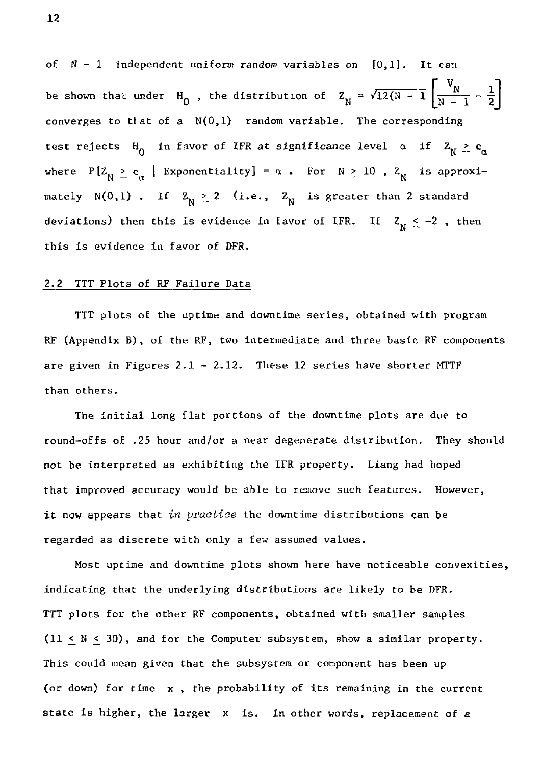of  $N - 1$  independent uniform random variables on  $[0,1]$ . It can be shown that under H<sub>0</sub>, the distribution of  $Z_N = \sqrt{12(N - 1) \left[ N - 1 - \frac{1}{2} \right]}$ converges to tlat of a  $N(0,1)$  random variable. The corresponding test rejects H<sub>0</sub> in favor of IFR at significance level  $\alpha$  if  $Z_N \ge c_\alpha$ where P[ $Z_N \ge c_\alpha$  | Exponentiality] =  $\alpha$ . For N  $\ge 10$ ,  $Z_N$  is approximately N(0,1). If  $Z_N \ge 2$  (i.e.,  $Z_N$  is greater than 2 standard deviations) then this is evidence in favor of IFR. If  $Z_N \leq -2$ , then this is evidence in favor of DFR.

#### 2.2 TTT Plots of RF Failure Data

TTT plots of the uptime and downtime series, obtained with program RF (Appendix B) , of the RF, two intermediate and three basic RF components are given in Figures 2.1 - 2.12. These 12 series have shorter MTTF than others.

The initial long flat portions of the downtime plots are due to round-offs of .25 hour and/or a near degenerate distribution. They should not be interpreted as exhibiting the IFR property. Liang had hoped that improved accuracy would be able to remove such features. However, it now appears that *in pvaotiae* the downtime distributions can be regarded as discrete with only a few assumed values.

Most uptime and downtime plots shown here have noticeable convexities, indicating that the underlying distributions are likely to be DFR. TTT plots for the other RF components, obtained with smaller samples  $(11 < N < 30)$ , and for the Computer subsystem, show a similar property. This could mean given that the subsystem or component has been up (or down) for time x , the probability of its remaining in the current state is higher, the larger x is. In other words, replacement of a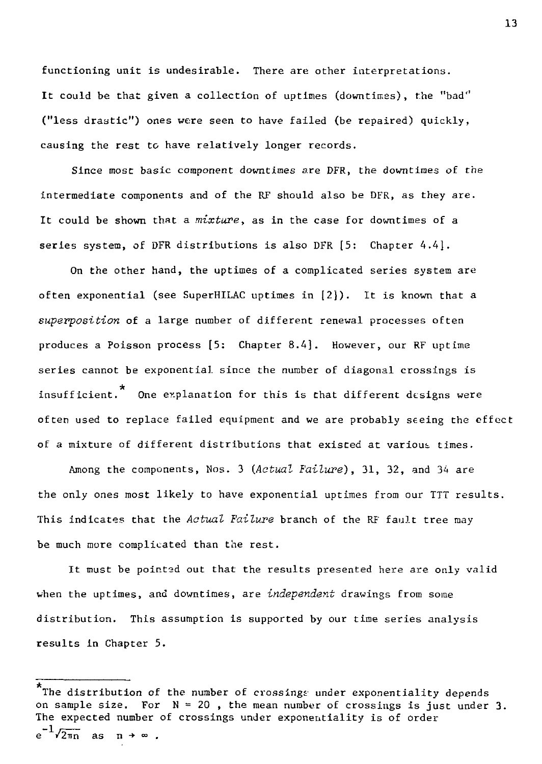functioning unit is undesirable. There are other interpretations. It could be that given a collection of uptimes (downtimes), the "bad" ("less drastic") ones were seen to have failed (be repaired) quickly, causing the rest to have relatively longer records.

Since most basic component downtimes are DFR, the downtimes of the intermediate components and of the RF should also be DFR, as they are. It could be shown that a *mixture,* as in the case for downtimes of a series system, of DFR distributions is also DFR [5: Chapter A.4].

On the other hand, the uptimes of a complicated series system are often exponential (see SuperHILAC uptimes in [2]). It is known that a *superposition* of a large number of different renewal processes often produces a Poisson process [5: Chapter 8.4]. However, our RF uptime series cannot be exponential since the number of diagonal crossings is \* insufficient. One explanation for this is that different designs were often used to replace failed equipment and we are probably seeing the effect of a mixture of different distributions that existed at various times.

Among the components, Nos. 3 *(Actual Failure),* 31, 32, and 34 are the only ones most likely to have exponential uptimes from our TTT results. This indicates that the *Actual Failure* branch of the RF fault tree may be much more complicated than the rest.

It must be pointed out that the results presented here are only valid when the uptimes, and downtimes, are *independent* drawings from some distribution. This assumption is supported by our time series analysis results in Chapter 5.

The distribution of the number of crossings under exponentiality depends on sample size. For  $N = 20$ , the mean number of crossings is just under 3. The expected number of crossings under exponentiality is of order  $e^{-1}\sqrt{2\pi n}$  as  $n \rightarrow \infty$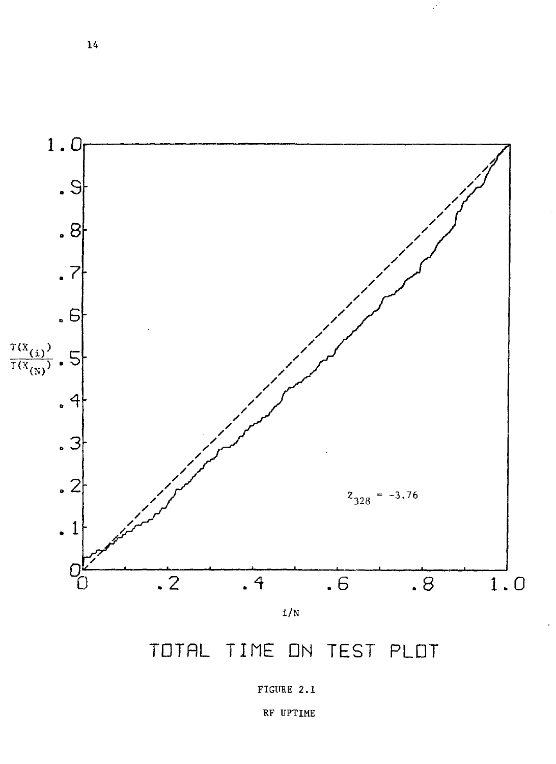

TOTAL TIME DN TEST PLOT

RF UPTIME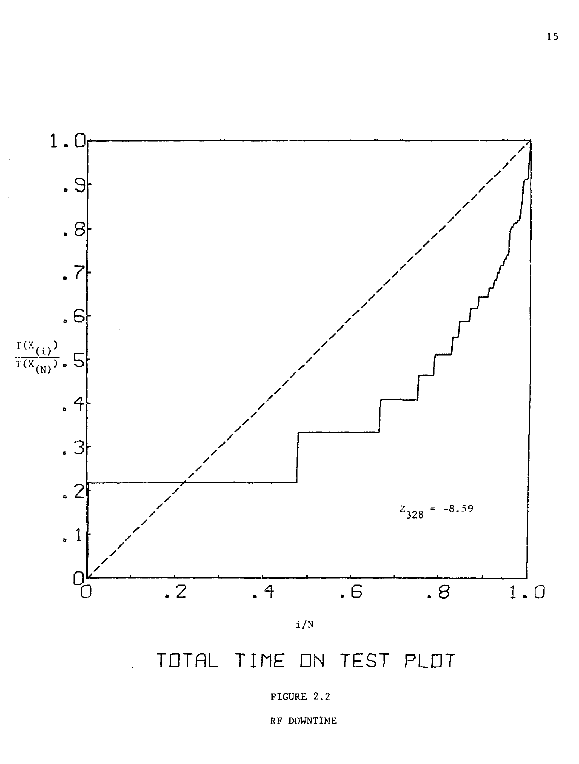

TOTAL TIME ON TEST PLDT



RF DOWNTIME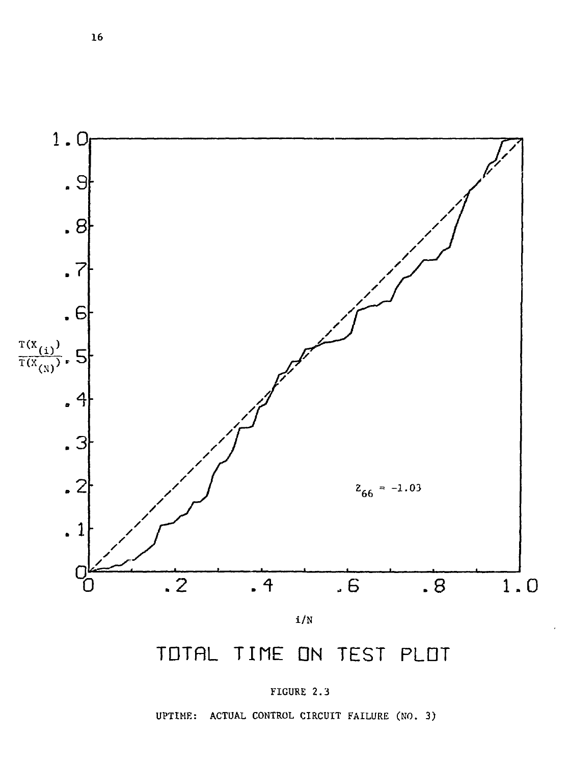

# TDTRL TIME ON TEST PLDT



UPTIME: ACTUAL CONTROL CIRCUIT FAILURE (NO. 3)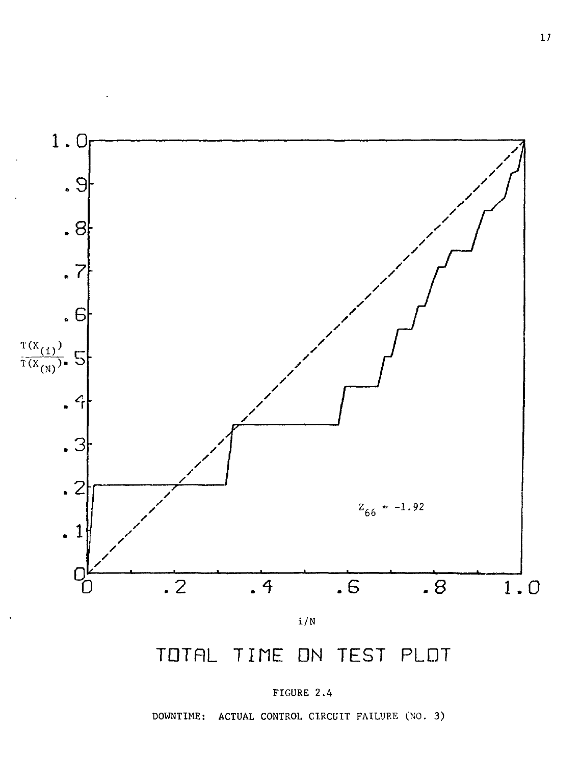

## TOTAL TIME ON TEST PLOT



DOWNTIME: ACTUAL CONTROL CIRCUIT FAILURE (NO. 3)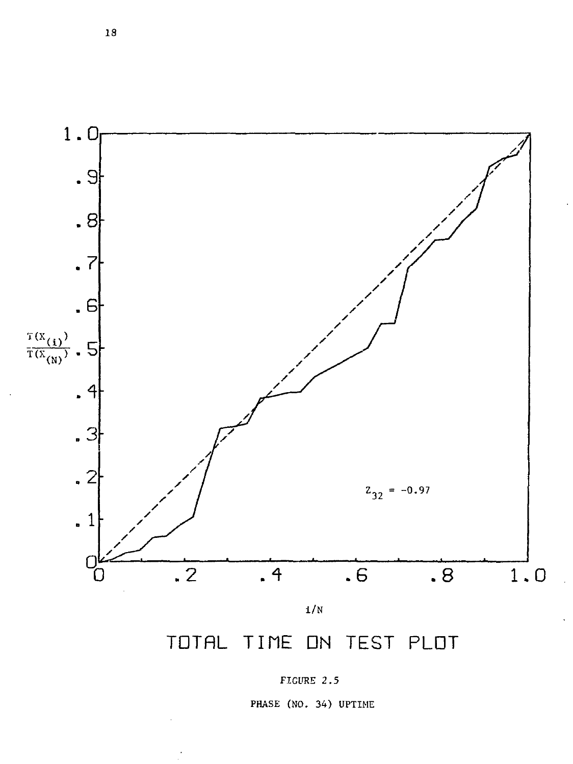

TOTAL TIME ON TEST PLOT

FIGURE 2.5

PHASE (NO. 34) UPTIME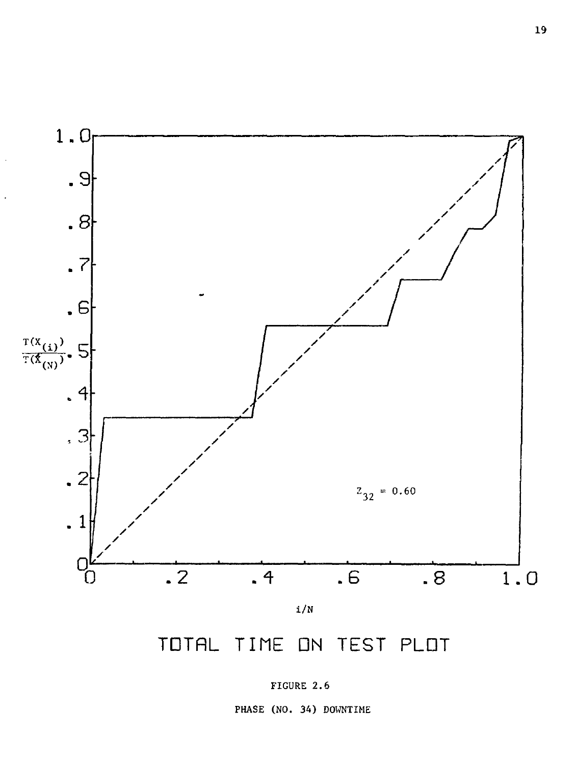

# TDTRL TIME DN TEST PLDT

PHASE (NO. 34) DOWNTIME

FIGURE 2.6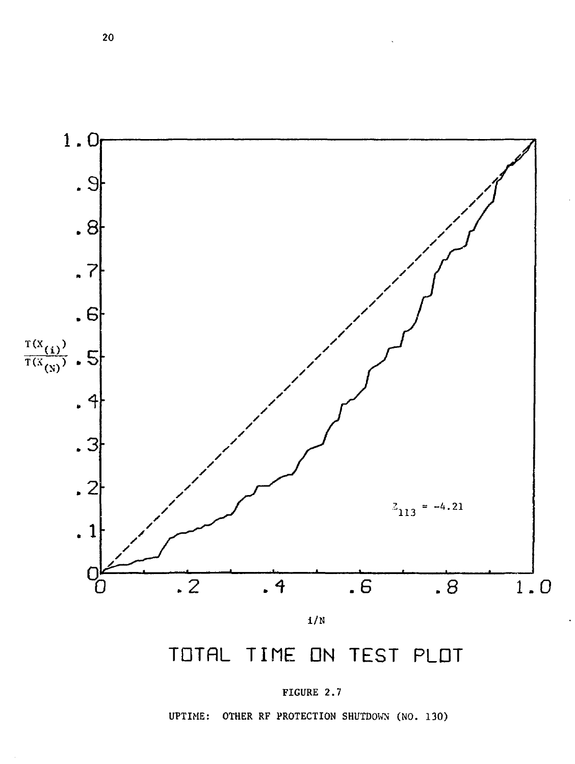

# TDTRL TINE DN TEST PLDT



UPTIME: OTHER RF PROTECTION SHUTDOWN (NO. 130)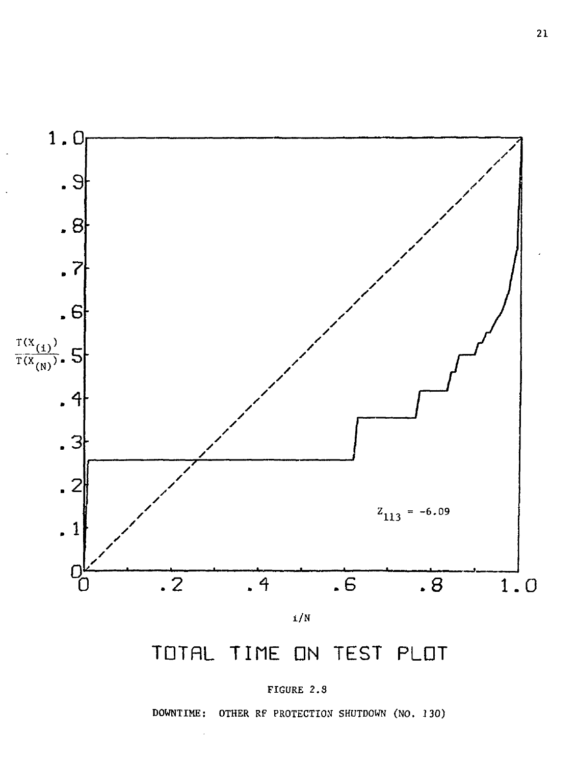

# TOTAL TIME ON TEST PLOT

## FIGURE 2.S

DOWNTIME: OTHER RF PROTECTION SHUTDOWN (NO. 130)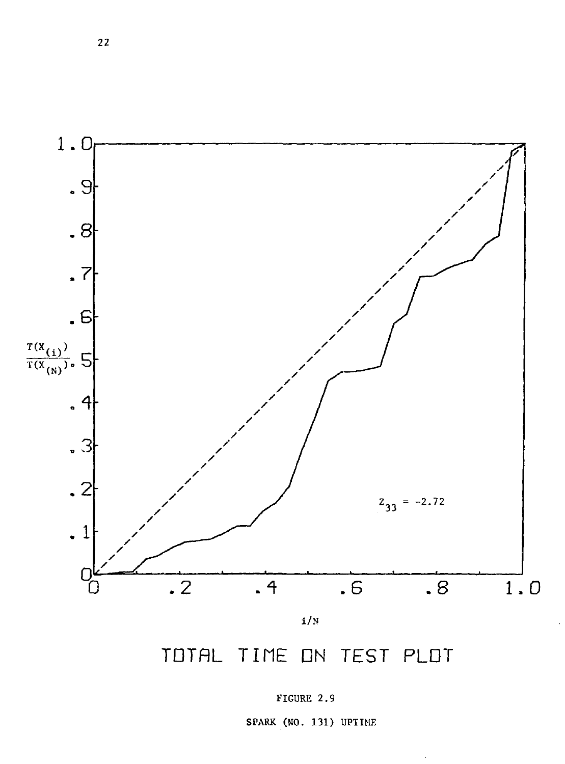

## TDTRL TINE DN TEST PLDT



SPARK (HO. 131) UPTIME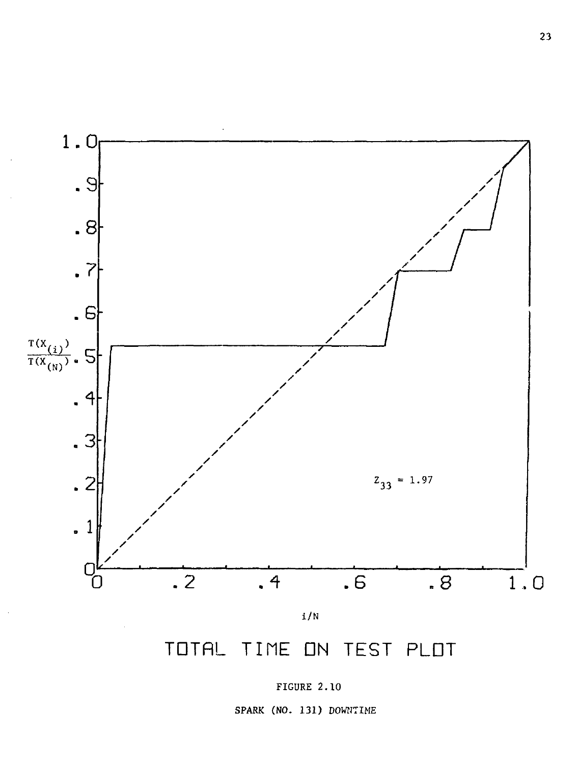

# TDTRL TIME DN TEST PLDT

## FIGURE 2.10

SPARK (NO. 131) DOWNTIME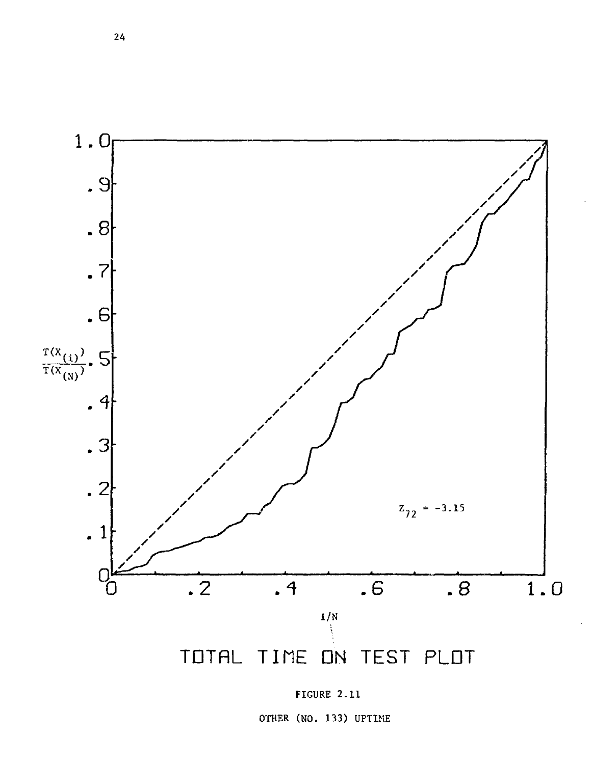

FIGURE 2.11

OTHER (NO. 133) UPTIME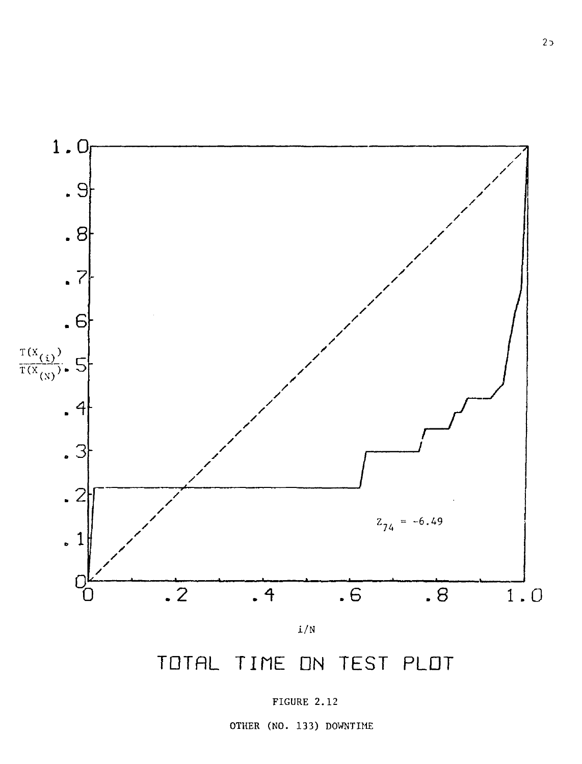

TOTAL TIME ON TEST PLOT

FIGURE 2.12

OTHER (NO. 133) DOWNTIME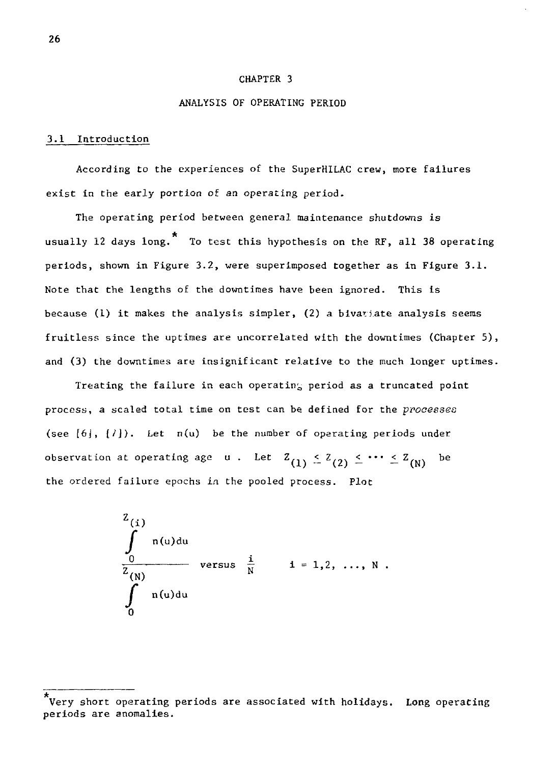#### CHAPTER 3

#### ANALYSIS OF OPERATING PERIOD

#### 3.1 Introduction

According to the experiences of the SuperHILAC crew, more failures exist in the early portion of an operating period.

The operating period between general maintenance shutdowns is usually 12 days long.\* To test this hypothesis on the RF, all 38 operating periods, shown in Figure 3.2, were superimposed together as in Figure 3.1. Note that the lengths of the downtimes have been ignored. This is because (1) it makes the analysis simpler, (2) a bivariate analysis seems fruitless since the uptimes are uncorrelated with the downtimes (Chapter 5), and (3) the downtimes are insignificant relative to the much longer uptimes.

observation at operating age  $u$ . Let  $Z_{(1)} \leq Z_{(2)} \leq \cdots \leq Z_{(N)}$ be  $\alpha$  . Let  $\alpha$   $\alpha$   $\beta$ process. Plot

$$
\int_{0}^{2(i)} n(u) du
$$
\n
$$
\int_{0}^{\frac{1}{2}} n(u) du
$$
\nversus  $\frac{i}{N}$  1 = 1,2, ..., N .

Very short operating periods are associated with holidays. Long operating periods are anomalies.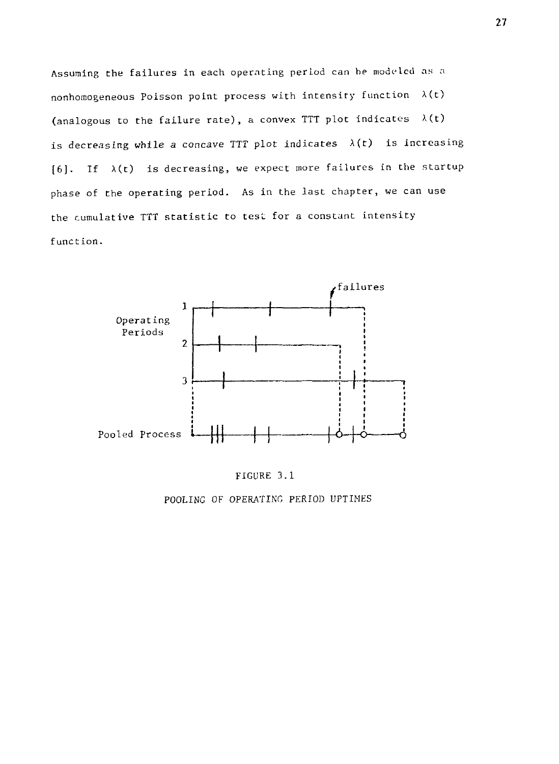Assuming the failures in each operating period can he modeled as a nonhomogeneous Poisson point process with intensity function  $\lambda(t)$ (analogous to the failure rate), a convex TTT plot indicates  $\lambda(t)$ is decreasing while a *concave* TTT plot indicates A(t) is increasing  $[6]$ . If  $\lambda(t)$  is decreasing, we expect more failures in the startup phase of the operating period. As in the last chapter, we can use the cumulative TTT statistic to test for a constant intensity function.





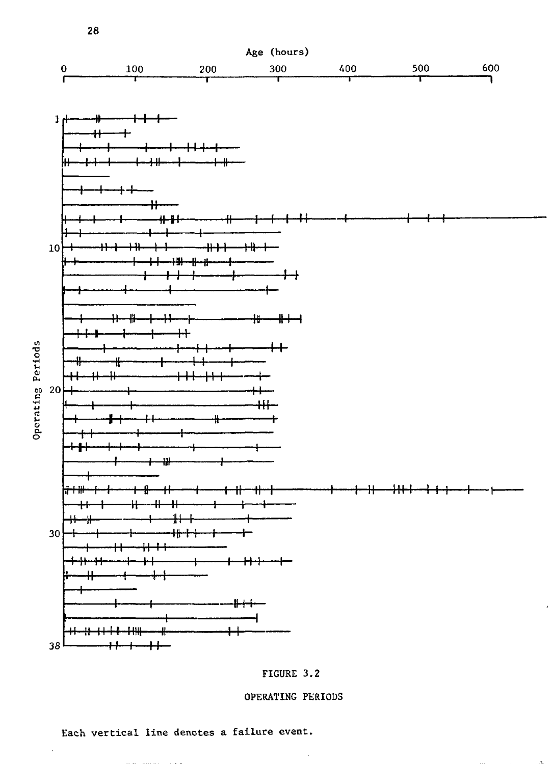

### FIGURE 3.2

### OPERATING PERIODS

 $\bar{z}$ 

Each vertical line denotes a failure event.

 $\sim$   $\sim$ 

 $\mathcal{L}$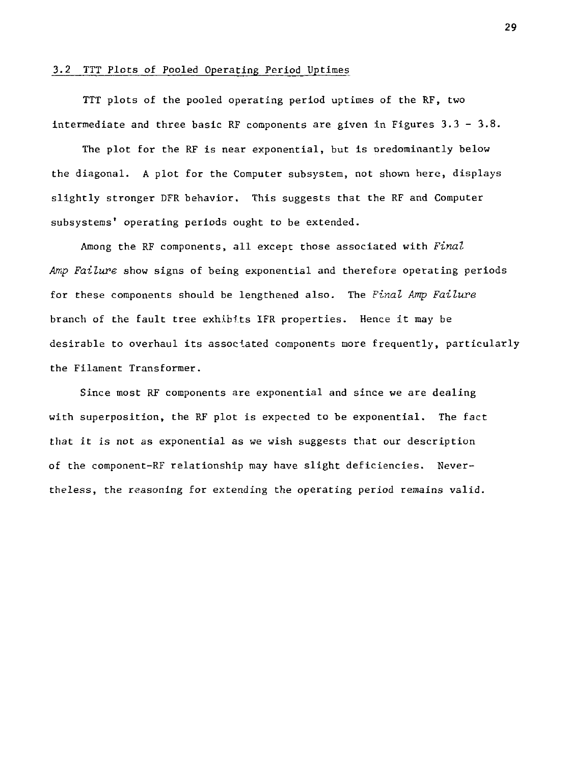#### 3.2 TTT Plots of Pooled Operating Period Uptimes

TTT plots of the pooled operating period uptimes of the RF, two intermediate and three basic RF components are given in Figures  $3.3 - 3.8$ .

The plot for the RF is near exponential, but is oredominantly below the diagonal. A plot for the Computer subsystem, not shown here, displays slightly stronger DFR behavior. This suggests that the RF and Computer subsystems' operating periods ought to be extended.

Among the RF components, all except those associated with *Final Amp Failure* show signs of being exponential and therefore operating periods for these components should be lengthened also. The *Final Amp Failure*  branch of the fault tree exhibits 1FR properties. Hence it may be desirable to overhaul its associated components more frequently, particularly the Filament Transformer.

Since most RF components are exponential and since we are dealing with superposition, the RF plot is expected to be exponential. The fact that it is not as exponential as we wish suggests that our description of the component-RF relationship may have slight deficiencies. Nevertheless, the reasoning for extending the operating period remains valid.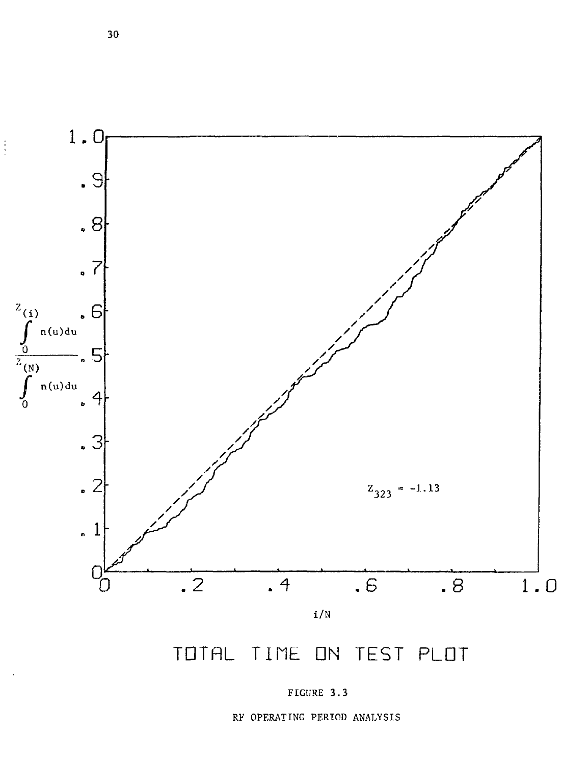

TOTAL TIME ON TEST PLOT

RF OPERATING PERIOD ANALYSIS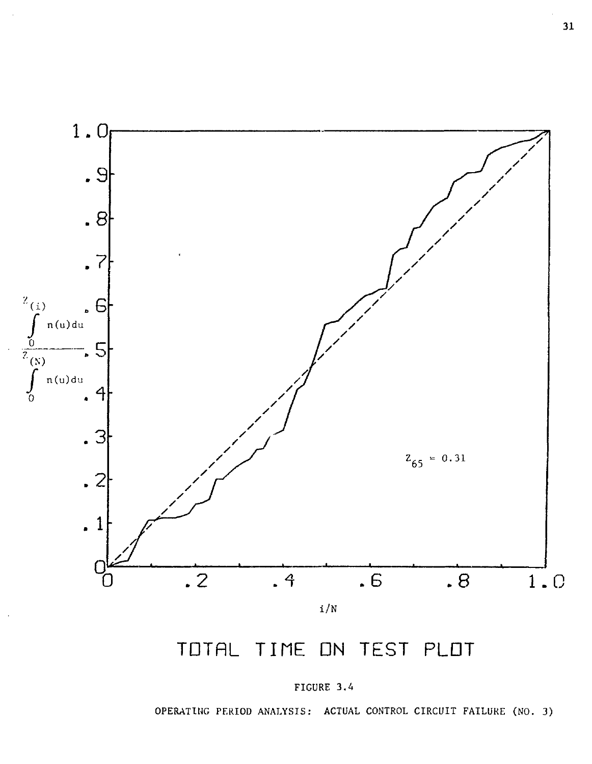

FIGURE 3.A

OPERATING PERIOD ANALYSIS: ACTUAL CONTROL CIRCUIT FAILURE (NO. 3)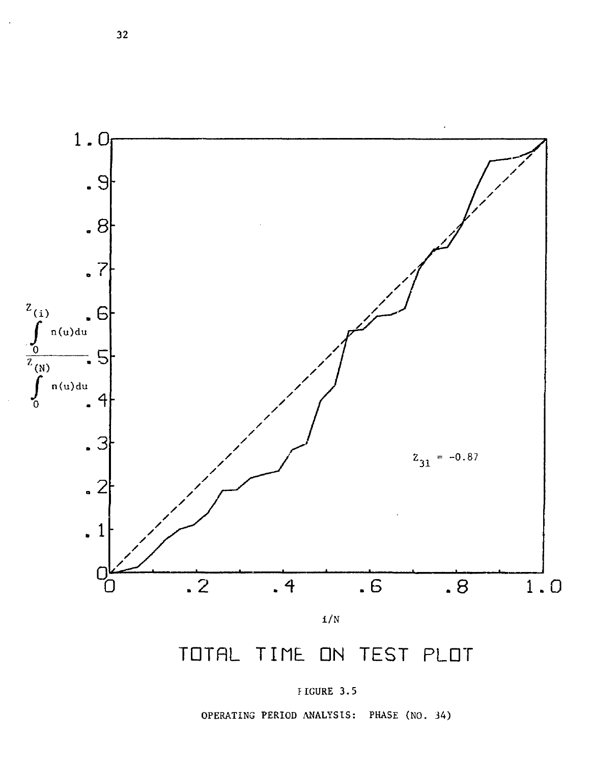

# TOTAL TIME ON TEST PLOT

PIGURE 3.5

OPERATING PERIOD ANALYSIS: PHASE (NO. 34)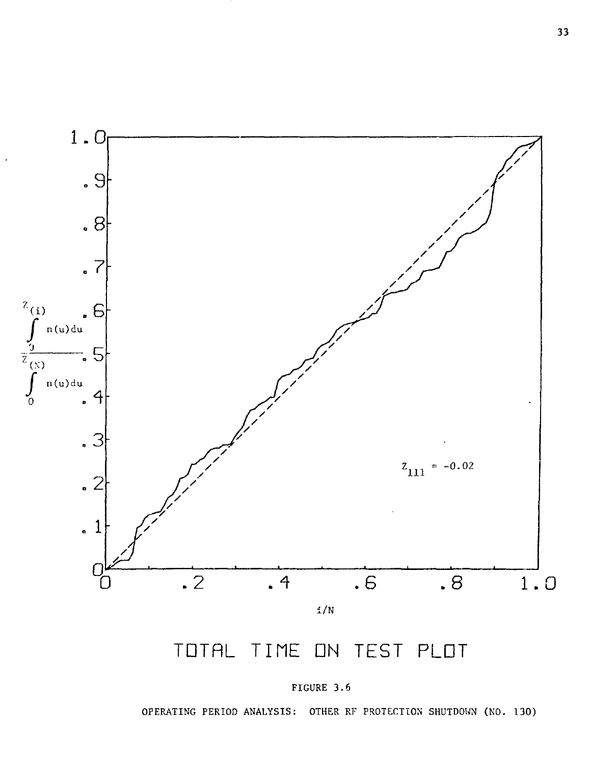

FIGURE 3.6

OPERATING PERIOD ANALYSIS: OTHER RF PROTECTION SHUTDOWN (NO. 130)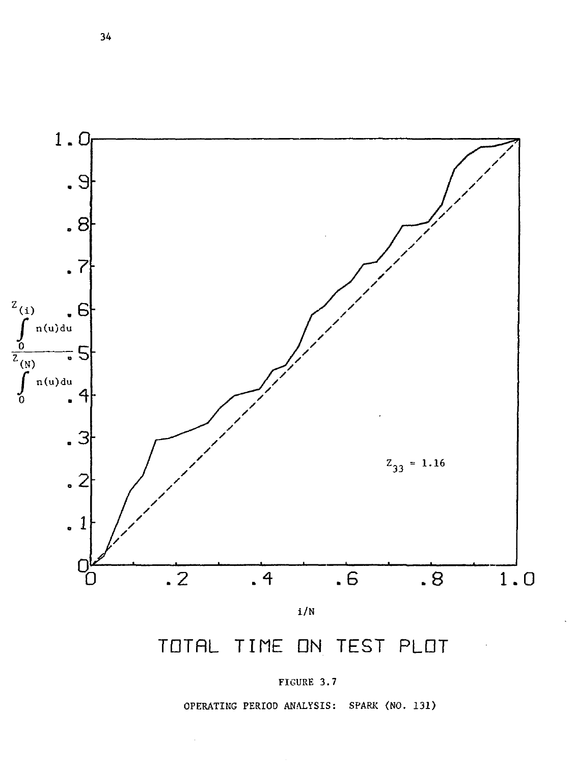

# TOTAL TIME ON TEST PLOT



OPERATING PERIOD ANALYSIS: SPARK (NO. 131)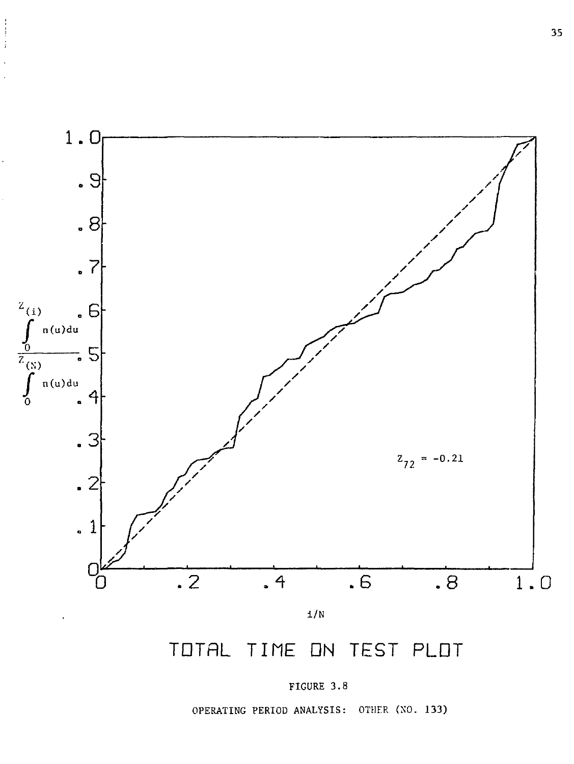

 $\begin{array}{c}\n1 \\
1 \\
1 \\
1\n\end{array}$ 

OPERATING PERIOD ANALYSIS: OTHFR (NO. 133)

FIGURE 3.8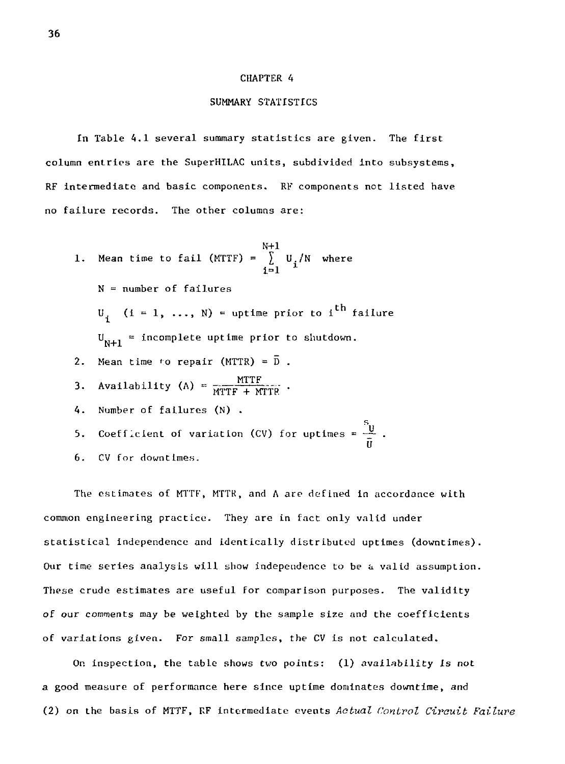#### CHAPTER 4

## SUMMARY STATISTICS

In Table 4.1 several summary statistics are given. The first column entries are the SuperHILAC units, subdivided into subsystems, RF intermediate and basic components. RF components not listed have no failure records. The other columns are:

N+l 1. Mean time to fail (MTTF) = £ U./N where  $i=1$ N = number of failures  $U_i$  (i = 1, ..., N) = uptime prior to i<sup>th</sup> failure  $U_{N+1}$  = incomplete uptime prior to shutdown. 2. Mean time to repair (MTTR) =  $\overline{D}$ . 3. Availability (A) =  $\frac{MTTF}{MTTF + MTTF}$ . 4. Number of failures (N) . s., 5. Coefficient of variation (CV) for uptimes =  $\frac{u}{\bar{U}}$ . 6. CV for downtimes.

The estimates of MTTF, MTTK, and A are defined in accordance with common engineering practice. They are in fact only valid under statistical independence and identically distributed uptimes (downtimes). Our time series analysis will show independence to be a valid assumption. These crude estimates are useful for comparison purposes. The validity of our comments may be weighted by the sample size and the coefficients of variations given. For small samples, the CV is not calculated.

On inspection, the table shows two points: (1) availability Is not a good measure of performance here since uptime dominates downtime, and (2) on the basis of MTTF, RF intermediate events *Actual Control Circuit Failure*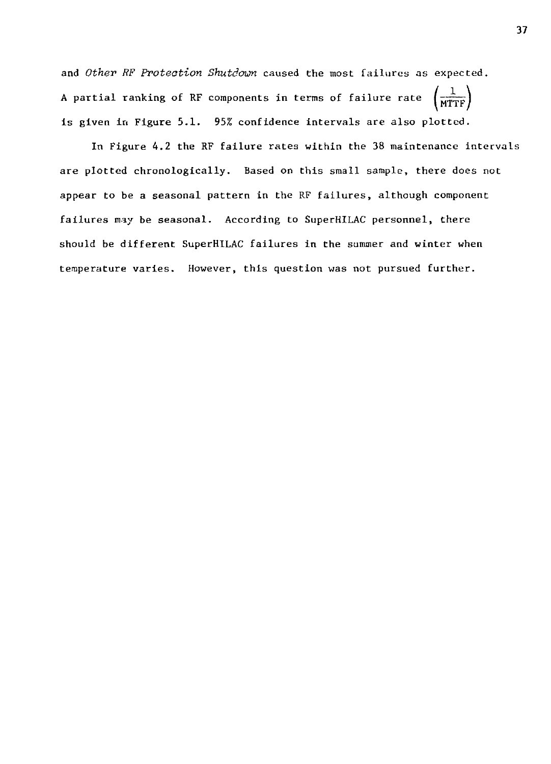and *Other RF Protection Shutdown* caused the most failures as expected. A partial ranking of RF components in terms of failure rate  $\left(\widehat{\text{MTTF}}\right)$ is given in Figure 5.1. 95% confidence intervals are also plotted.

In Figure 4.2 the RF failure rates within the 38 maintenance intervals are plotted chronologically. Based on this small sample, there does not appear to be a seasonal pattern in the RF failures, although component failures may be seasonal. According to SuperHILAC personnel, there should be different SuperHILAC failures in the summer and winter when temperature varies. However, this question was not pursued further.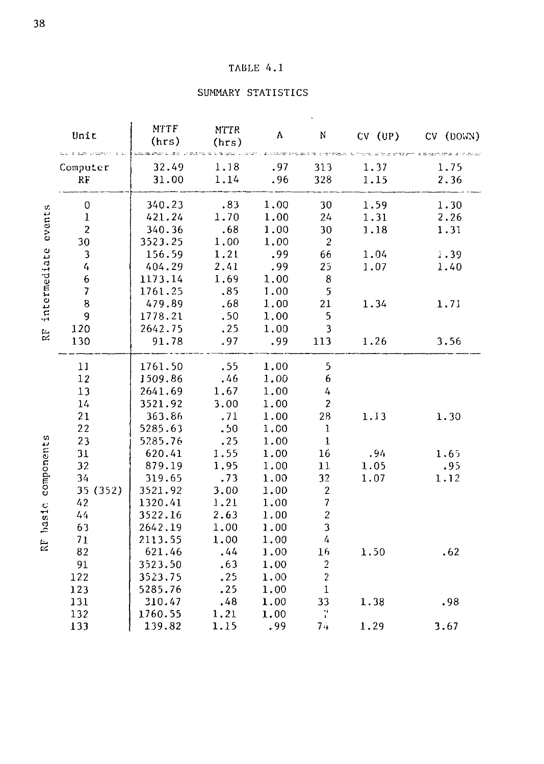# TABLE 4.1

# SUMMARY STATISTICS

|              | Unit<br>sala per unienno | <b>MTTF</b><br>(hrs) | MTTR<br>(hrs) | $\Lambda$ | N              | $CV$ $(UP)$ | CV (DOWN) |
|--------------|--------------------------|----------------------|---------------|-----------|----------------|-------------|-----------|
| cvents       | Computer                 | 32.49                | 1.18          | .97       | 313            | 1.37        | 1.75      |
|              | RF                       | 31.00                | 1,14          | .96       | 328            | 1.15        | 2.36      |
|              | 0                        | 340.23               | .83           | 1.00      | 30             | 1.59        | 1.30      |
|              | $\bf 1$                  | 421.24               | 1.70          | 1.00      | 24             | 1.31        | 2.26      |
|              | $\overline{2}$           | 340.36               | .68           | 1.00      | 30             | 1.18        | 1.31      |
|              | 30                       | 3523.25              | 1.00          | 1.00      | $\overline{2}$ |             |           |
|              | $\overline{\mathbf{3}}$  | 156.59               | 1.21          | .99       | 66             | 1.04        | 1.39      |
|              | 4                        | 404.29               | 2.41          | .99       | 25             | 1.07        | 1.40      |
|              | $\boldsymbol{6}$         | 1173.14              | 1.69          | 1.00      | 8              |             |           |
| intermediate | $\overline{\mathcal{I}}$ | 1761.25              | .85           | 1.00      | 5              |             |           |
|              | 8                        | 479.89               | .68           | 1.00      | 21             | 1.34        | 1.71      |
|              | 9                        | 1778.21              | .50           | 1,00      | 5              |             |           |
| Ŕŀ           | 120                      | 2642.75              | .25           | 1.00      | 3              |             |           |
|              | 130                      | 91.78                | .97           | .99       | 113            | 1.26        | 3.56      |
|              | 11                       | 1761.50              | .55           | 1.00      | 5              |             |           |
|              | 12                       | 1509.86              | .46           | 1.00      | 6              |             |           |
|              | 13                       | 2641.69              | 1,67          | 1.00      | 4              |             |           |
|              | 14                       | 3521.92              | 3.00          | 1,00      | $\overline{c}$ |             |           |
|              | 21                       | 363.86               | .71           | 1.00      | 28             | 1.13        | 1.30      |
|              | 22                       | 5285.63              | .50           | 1.00      | $\mathbf{1}$   |             |           |
|              | 23                       | 5285.76              | .25           | 1.00      | $\mathbf{1}$   |             |           |
| components   | 31                       | 620.41               | 1.55          | 1.00      | 16             | .94         | 1.65      |
|              | 32                       | 879.19               | 1.95          | 1.00      | 11             | 1.05        | .95       |
|              | 34                       | 319.65               | .73           | 1.00      | 32             | 1.07        | 1.12      |
|              | 35 (352)                 | 3521.92              | 3.00          | 1.00      | $\overline{2}$ |             |           |
|              | 42                       | 1320.41              | 1.21          | 1.00      | $\overline{7}$ |             |           |
|              | 44                       | 3522.16              | 2.63          | 1.00      | $\overline{c}$ |             |           |
| hastc        | 63                       | 2642.19              | 1.00          | 1.00      | 3              |             |           |
| Ŕ            | 71                       | 2113.55              | 1.00          | 1.00      | $\overline{4}$ |             |           |
|              | 82                       | 621.46               | .44           | 1.00      | 16             | 1.50        | .62       |
|              | 91                       | 3523.50              | .63           | 1.00      | $\sqrt{2}$     |             |           |
|              | 122                      | 3523.75              | .25           | 1.00      | $\overline{c}$ |             |           |
|              | 123                      | 5285.76              | .25           | 1.00      | $\mathbf 1$    |             |           |
|              | 131                      | 310.47               | .48           | 1.00      | 33             | 1.38        | .98       |
|              | 132                      | 1760.55              | 1.21          | 1.00      | ÷,             |             |           |
|              | 133                      | 139.82               | 1.15          | .99       | 74             | 1.29        | 3.67      |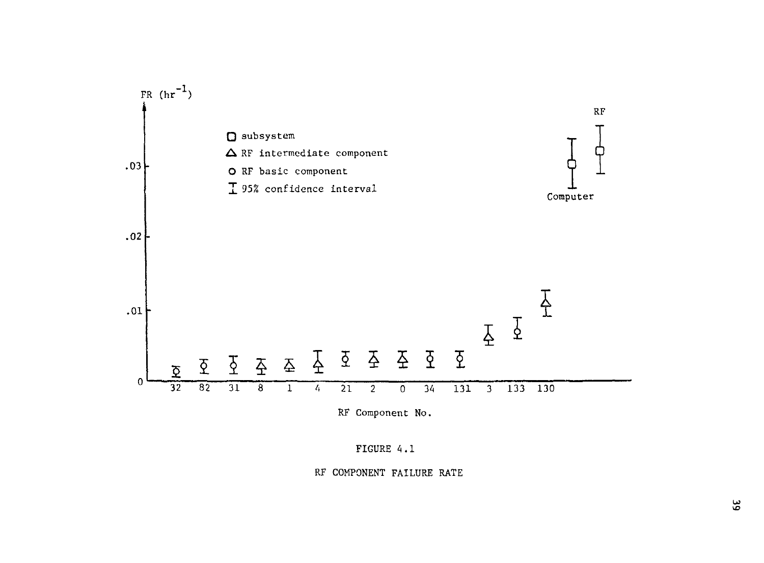

FIGURE 4.1

RF COMPONENT FAILURE RATE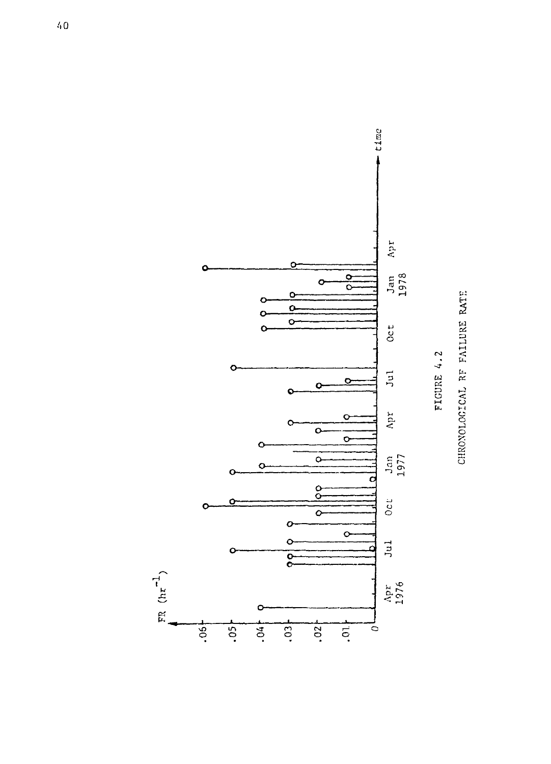

 $\sum_{r=1}^{TR} (hr^{-1})$ 

CHRONOLOGICAL RF FAILURE RATE

FIGURE 4.2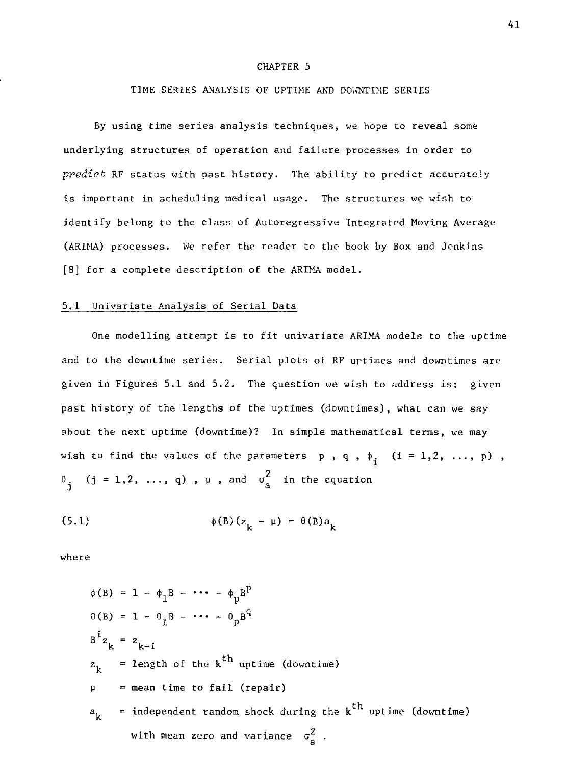## CHAPTER 5

## TIME SERIES ANALYSIS OF UPTIME AND DOWNTIME SERIES

By using time series analysis techniques, we hope to reveal some underlying structures of operation and failure processes in order to *predict* RF status with past history. The ability to predict accurately is important in scheduling medical usage. The structures we wish to identify belong to the class of Autoregressive Integrated Moving Average (ARIMA) processes. We refer the. reader to the book by Box and Jenkins [8] for a complete description of the ARIMA model.

## 5.1 Univariate Analysis of Serial Data

One modelling attempt is to fit univariate ARIMA models to the uptime and to the downtime series. Serial plots of RF urtimes and downtimes are given in Figures 5.1 and 5.2. The question we wish to address is: given past history of the lengths of the uptimes (downtimes), what can we say about the next uptime (downtime)? In simple mathematical terras, we may wish to find the values of the parameters p, q,  $\phi_i$  (i = 1,2, ..., p),  $\sigma_j$  (j = 1,2, ..., q),  $\mu$ , and  $\sigma_a^2$  in the equation

(5.1) 
$$
\phi(B)(z_{1} - \mu) = \theta(B)a_{1}
$$

where

$$
\phi(B) = 1 - \phi_1 B - \cdots - \phi_p B^p
$$
  
\n
$$
\theta(B) = 1 - \theta_1 B - \cdots - \theta_p B^q
$$
  
\n
$$
B^i z_k = z_{k-i}
$$
  
\n
$$
z_k = length of the kth uptime (downtime)
$$
  
\n
$$
\mu = mean time to fail (repair)
$$
  
\n
$$
a_k = independent random shock during the kth uptime (downtime)
$$
  
\nwith mean zero and variance  $\sigma_a^2$ .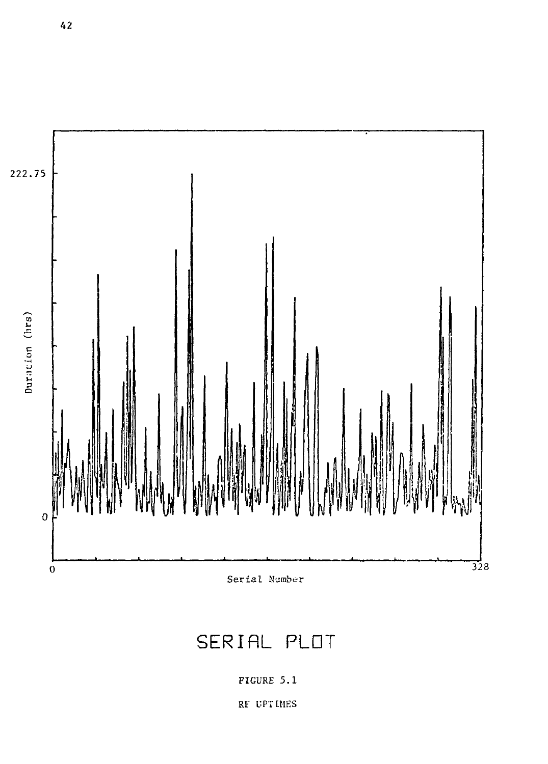

# SERIAL PLOT

FIGURE 5.1

RF UPTIMES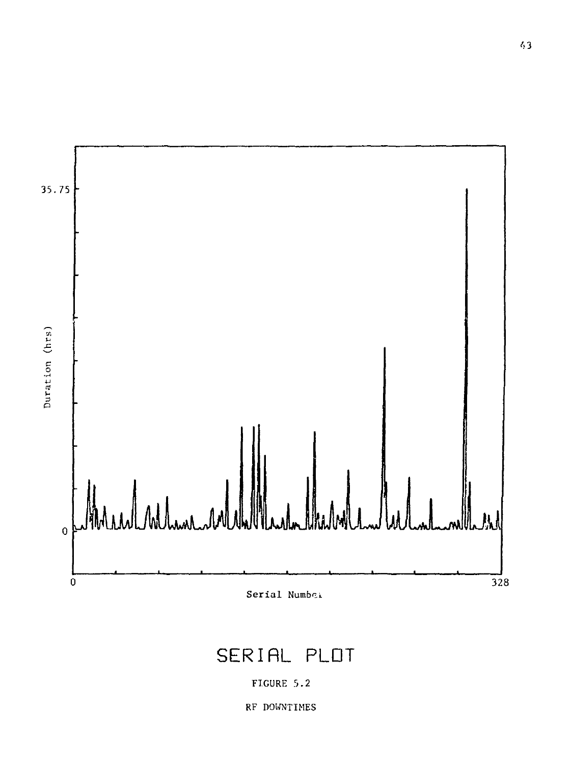

# SERIAL PLOT

# FIGURE 5.2

RF DOWNTIMES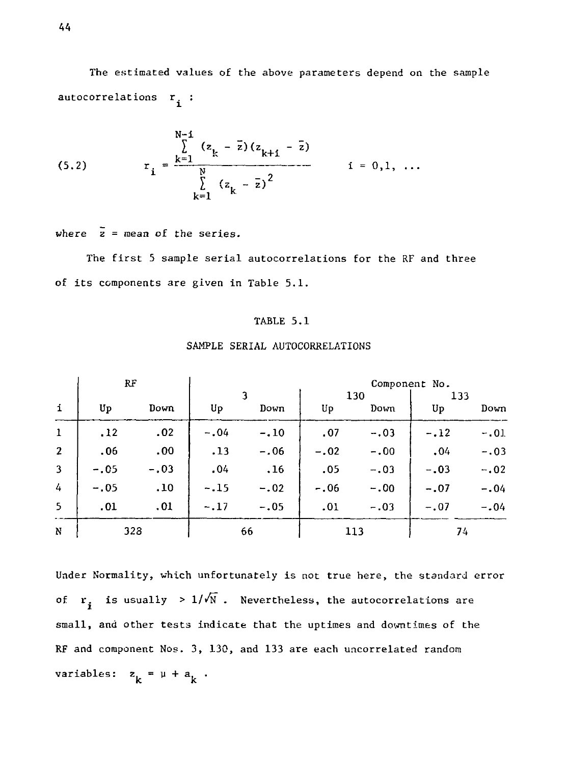The estimated values of the above parameters depend on the sample autocorrelations  $r_i$ :

(5.2) 
$$
r_{i} = \frac{\sum_{k=1}^{N-1} (z_{k} - \bar{z})(z_{k+1} - \bar{z})}{\sum_{k=1}^{N} (z_{k} - \bar{z})^{2}}
$$
  $i = 0, 1, ...$ 

where  $\bar{z}$  = mean of the series.

The first 5 sample serial autocorrelations for the RF and three of its components are given in Table 5.1.

## TABLE 5.1

|                | RF     |        | Component No. |        |        |        |        |        |
|----------------|--------|--------|---------------|--------|--------|--------|--------|--------|
|                |        |        |               |        | 130    |        | 133    |        |
| $\mathbf i$    | Up     | Down   | Up            | Down   | Up     | Down   | Up     | Down   |
| $\mathbf{1}$   | .12    | .02    | $-.04$        | $-.10$ | .07    | $-.03$ | $-.12$ | $-.01$ |
| $\mathbf{2}$   | .06    | .00.   | .13           | $-.06$ | $-.02$ | $-.00$ | .04    | $-.03$ |
| $\overline{3}$ | $-.05$ | $-.03$ | .04           | .16    | .05    | $-.03$ | $-.03$ | $-.02$ |
| 4              | $-.05$ | .10    | $-.15$        | $-.02$ | $-.06$ | $-.00$ | $-.07$ | $-.04$ |
| 5              | .01    | .01    | $-.17$        | $-.05$ | .01    | $-.03$ | $-.07$ | $-.04$ |
| N              | 323    |        |               | 66     |        | 113    | 74     |        |

## SAMPLE SERIAL AUTOCORRELATIONS

Under Normality, which unfortunately is not true here, the standard error of  $r_i$  is usually >  $1/\sqrt{N}$ . Nevertheless, the autocorrelations are small, and other tests indicate that the uptimes and downtimes of the RF and component Nos. 3, 130, and 133 are each uncorrelated random variables:  $z_k = \mu + a_k$ .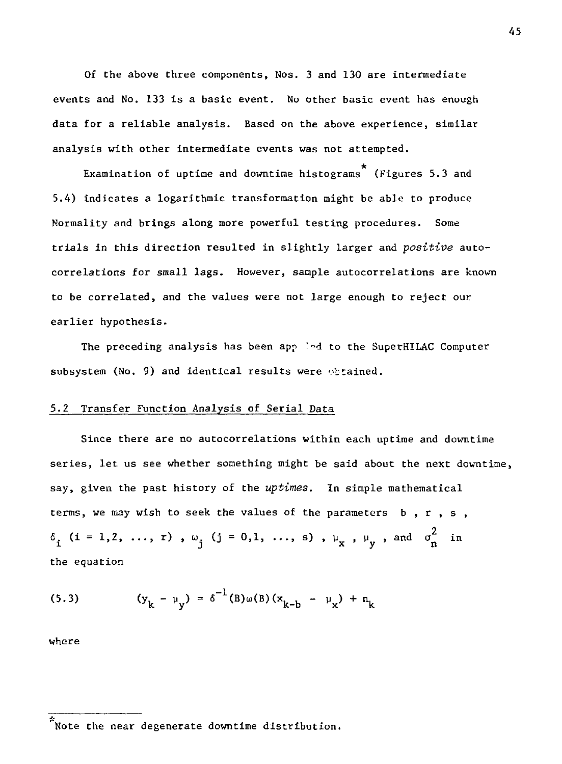Of the above three components, Nos. 3 and 130 are intermediate events and No. 133 is a basic event. No other basic event has enough data for a reliable analysis. Based on the above experience, similar analysis with other intermediate events was not attempted.

Examination of uptime and downtime histograms (Figures 5.3 and 5.4) indicates a logarithmic transformation might be able to produce Normality and brings along more powerful testing procedures. Some trials in this direction resulted in slightly larger and *positive* autocorrelations for small lags. However, sample autocorrelations are known to be correlated, and the values were not large enough to reject our earlier hypothesis.

The preceding analysis has been applied to the SuperHILAC Computer subsystem (No. 9) and identical results were obtained.

## 5.2 Transfer Function Analysis of Serial Data

Since there are no autocorrelations within each uptime and downtime series, let us see whether something might be said about the next downtime, say, given the past history of the *uptimes.* In simple mathematical terms, we may wish to seek the values of the parameters b, r, s,  $\delta_{i}$  (i = 1,2, ..., r),  $\omega_{j}$  (j = 0,1, ..., s),  $\mu_{x}$ ,  $\mu_{y}$ , and  $\sigma_{n}^{2}$  in the equation

(5.3) 
$$
(y_k - \mu_y) = \delta^{-1}(B)\omega(B)(x_{k-b} - \mu_x) + n_k
$$

where

 $\tilde{\tilde{}}$ Note the near degenerate downtime distribution.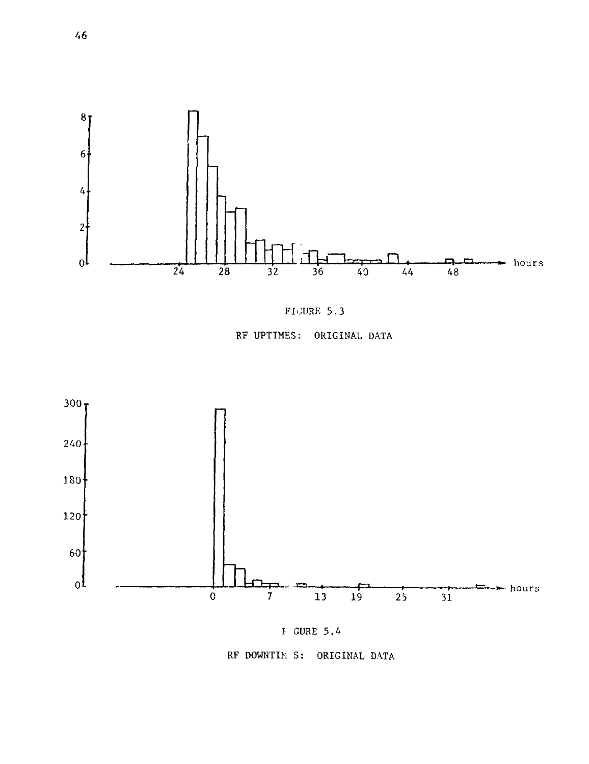







 $E$  GURE 5.4

RF DOWNTIM S: ORIGINAL DATA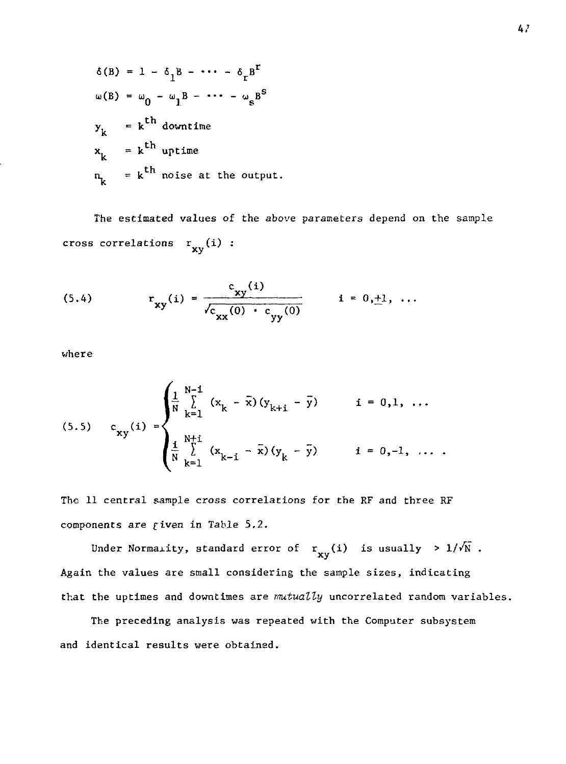$$
\delta(B) = 1 - \delta_1 B - \cdots - \delta_r B^r
$$
  
\n
$$
\omega(B) = \omega_0 - \omega_1 B - \cdots - \omega_s B^s
$$
  
\n
$$
y_k = k^{\text{th}} \text{ downtime}
$$
  
\n
$$
x_k = k^{\text{th}} \text{ uptime}
$$
  
\n
$$
n_k = k^{\text{th}} \text{ noise at the output.}
$$

The estimated values of the above parameters depend on the sample cross correlations  $\mathop{\bf r_{xy}}\nolimits({\bf i})$  :

(5.4) 
$$
r_{xy}(i) = \frac{c_{xy}(i)}{\sqrt{c_{xx}(0) + c_{yy}(0)}} \qquad i = 0, \pm 1, ...
$$

where

(5.5) 
$$
c_{xy}(i) = \begin{cases} \frac{1}{N} \sum_{k=1}^{N-1} (x_k - \bar{x})(y_{k+i} - \bar{y}) & i = 0,1, ... \\ \frac{1}{N} \sum_{k=1}^{N+1} (x_{k-i} - \bar{x})(y_k - \bar{y}) & i = 0, -1, ... \end{cases}
$$

The 11 central sample cross correlations for the RF and three RF components are fiven in Table 5.2.

Under Normality, standard error of  $r_{xy}(i)$  is usually  $>1/\sqrt{N}$ . Again the values are small considering the sample sizes, indicating that the uptimes and downtimes are *mutually* uncorrelated random variables.

The preceding analysis was repeated with the Computer subsystem and identical results were obtained.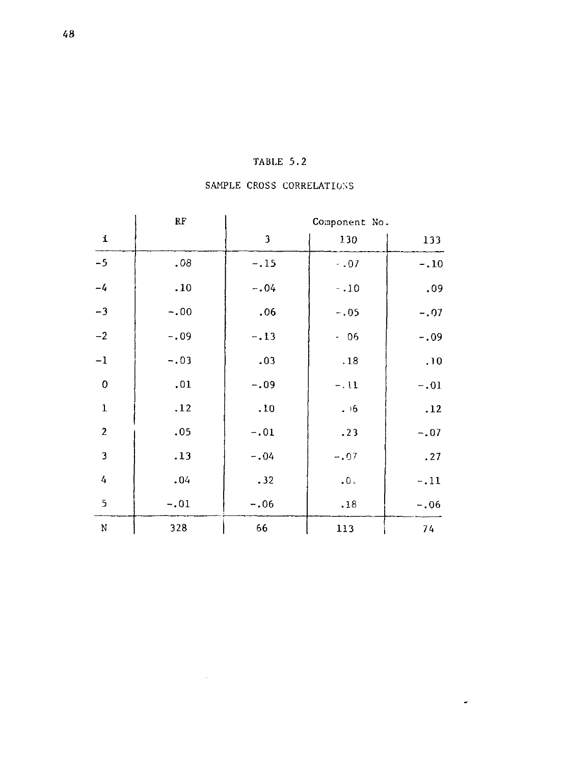# TABLE 5.2

# SAMPLE CROSS CORRELATIONS

|                         | RF     |        | Component No. |        |
|-------------------------|--------|--------|---------------|--------|
| 1                       |        | 3      | 130           | 133    |
| $-5$                    | .08    | $-.15$ | $-.07$        | $-.10$ |
| $-4$                    | .10    | $-.04$ | $-10$         | .09    |
| $-3$                    | $-.00$ | .06    | $-.05$        | $-.07$ |
| $^{\rm -2}$             | $-.09$ | $-.13$ | $-06$         | $-.09$ |
| $^{\rm -1}$             | $-.03$ | .03    | .18           | .10    |
| 0                       | .01    | $-.09$ | $-.11$        | $-.01$ |
| $\mathbf 1$             | .12    | .10    | .16           | .12    |
| $\boldsymbol{2}$        | .05    | $-.01$ | .23           | $-.07$ |
| $\overline{\mathbf{3}}$ | .13    | $-.04$ | $-.07$        | .27    |
| $\overline{4}$          | .04    | .32    | .0.           | $-.11$ |
| 5                       | $-.01$ | $-.06$ | .18           | $-.06$ |
| $\mathbf N$             | 328    | 66     | 113           | 74     |

 $\omega$ 

 $\sim$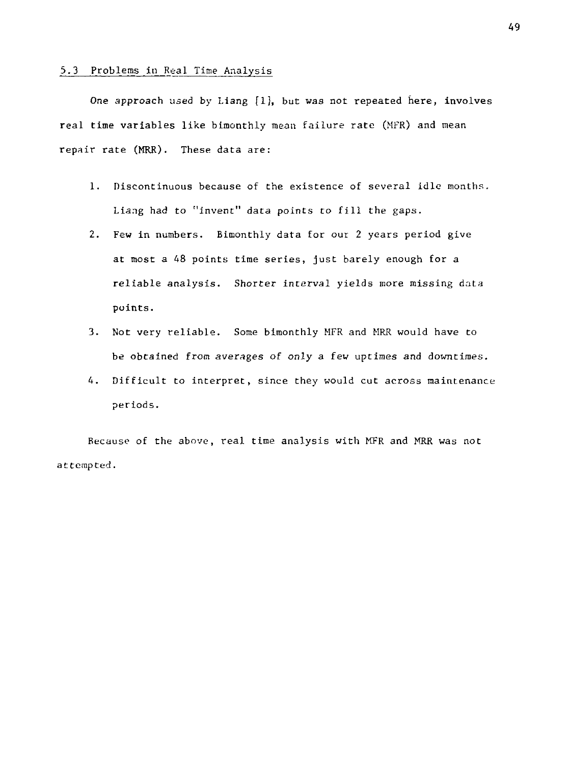# 5.3 Problems in Real Time Analysis

One approach used by Liang [1], but was not repeated here, involves real time variables like bimonthly mean failure rate (MFR) and mean repair rate (MRR). These data are:

- 1. Discontinuous because of the existence of several idle months. Liang had to "invent" data points to fill the gaps.
- 2. Few in numbers. Bimonthly data for our 2 years period give at most a 48 points time series, just barely enough for a reliable analysis. Shorter interval yields more missing data points.
- 3. Not very reliable. Some bimonthly MFR and MRR would have to be obtained from averages of only a few uptimes and downtimes.
- 4. Difficult to interpret, since they would cut across maintenance periods.

Because of the above, real time analysis with MFR and MRR was not attempted.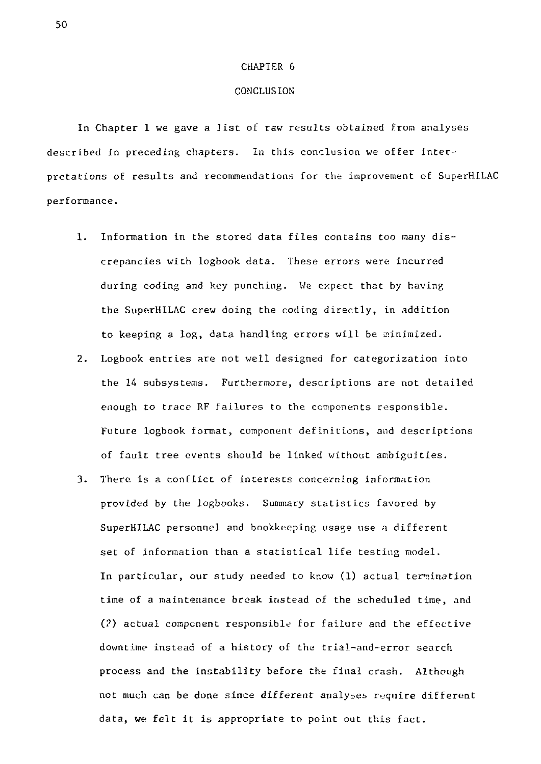#### CHAPTER 6

## CONCLUSION

In Chapter 1 we gave a list of raw results obtained from analyses described in preceding chapters. In this conclusion we offer interpretations of results and recommendations for the improvement of SuperHlLAC performance.

- 1. Information in the stored data files contains too many discrepancies with logbook data. These errors were incurred during coding and key punching. We expect that by having the SuperHlLAC crew doing the coding directly, in addition to keeping a log, data handling errors will be minimized.
- 2. Logbook entries are not well designed for categorization into the 14 subsystems. Furthermore, descriptions are not detailed enough to trace RF failures to the components responsible. Future logbook format, component definitions, and descriptions of fault tree events should be linked without ambiguities.
- 3. There, is a conflict of interests concerning information provided by the logbooks. Summary statistics favored by SuperHlLAC personnel and bookkeeping usage use a different set of information than a statistical life testing model. In particular, our study needed to know (1) actual termination time of a maintenance break instead of the scheduled time, and (?) actual component responsible for failure and the effective downtime instead of a history of the trial-and-error search process and the instability before the final crash. Although not much can be done since different analyses require different data, we felt it is appropriate to point out this fact.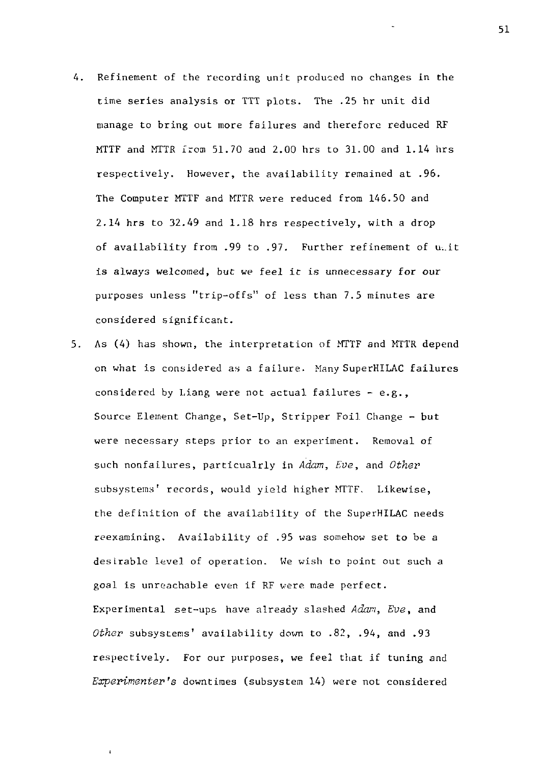- 4. Refinement of the recording unit produced no changes in the time series analysis or TTT plots. The .25 hr unit did manage to bring out more failures and therefore reduced RF MTTF and MTTR from 51.70 and 2.00 hrs to 31.00 and 1.14 hrs respectively. However, the availability remained at .96. The Computer MTTF and MTTR were reduced from 146.50 and 2.14 hrs *to* 32.49 and 1.18 hrs respectively, with a drop of availability from .99 to .97. Further refinement of unit is always welcomed, but we feel it *is* unnecessary for our purposes unless "trip-offs" of less than 7.5 minutes are considered significant.
- 5. As (4) has shown, the interpretation of MTTF and MTTR depend on what is considered as a failure. Many SuperHILAC failures considered by Liang were not actual failures - e.g., Source Element Change, Set-Up, Stripper Foil Change - but were necessary steps prior to an experiment. Removal of such nonfailures, particualrly in *Adam, Eve,* and *Othev*  subsystems' records, would yield higher MTTF. Likewise, the definition of the availability of the SuperHILAC needs reexamining. Availability of .95 was somehow set to be a desirable level of operation. We wish to point out such a goal is unreachable even if RF were made perfect. Experimental set-ups have already slashed *Adari, Eve,* and *Other* subsystems' availability down to .82, .94, and .93 respectively. For our purposes, we feel that if tuning and *Experimenter's* downtimes (subsystem 14) were not considered

 $\ddot{\phantom{0}}$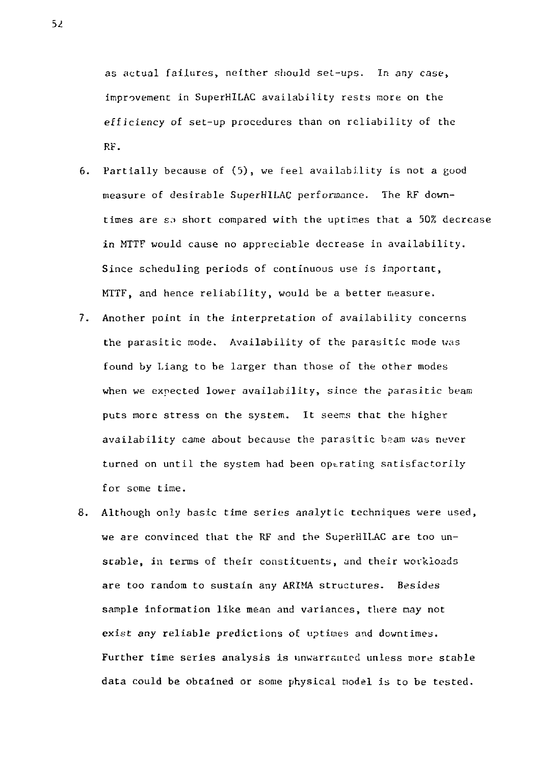as actual failures, neither should set-ups. In any case, improvement in SuperHILAC availability rests more on the efficiency of set-up procedures than on reliability of the RF.

- 6. Partially because of (5), we feel availability is not a good measure of desirable SuperHILAC performance. The RF downtimes are so short compared with the uptimes that a 50% decrease in MTTF would cause no appreciable decrease in availability. Since scheduling periods of continuous use is important, MTTF, and hence reliability, would be a better measure.
- 7. Another point in the interpretation of availability concerns the parasitic mode. Availability of the parasitic mode was found by Liang to be larger than those of the other modes when we expected lower availability, since the parasitic beam puts more stress en the system. It seems that the higher availability came about because the parasitic beam was never turned on until the system had been operating satisfactorily for some time.
- 8. Although only basic time series analytic techniques were used, we are convinced that the RF and the SuperHILAC are too unstable, in terms of their constituents, and their workloads are too random to sustain any ARIMA structures. Besides sample information like mean and variances, there may not exist any reliable predictions of uptimes and downtimes. Further time series analysis is unwarranted unless more stable data could be obtained or some physical Eiodel is to be tested.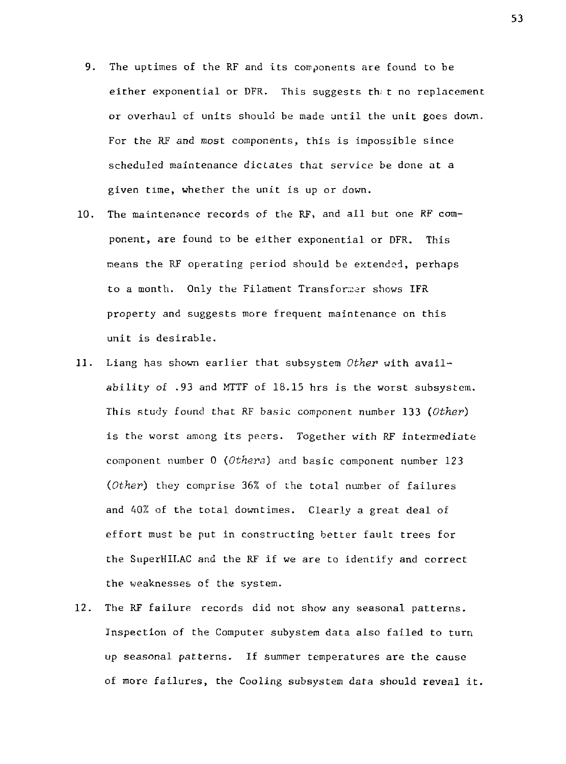- 9. The uptimes of the RF and its components are found to be either exponential or DFR. This suggests th. t no replacement or overhaul cf units should be made until the unit goes down. For the RF and most components, this is impossible since scheduled maintenance dictates that service be done at a given time, whether the unit is up or down.
- 10. The maintenance records of the RF, and all but one RF component, are found to be either exponential or DFR. This means the RF operating period should be extended, perhaps to a month. Only the Filament Transformer shows IFR property and suggests more frequent maintenance on this unit is desirable.
- 11. Liang has shown earlier that subsystem *Other* with availability of .93 and MTTF of 18.15 hrs is the worst subsystem. This study found that RF basic component number 133 *(Other)*  is the worst among its peers. Together with RF intermediate component number 0 *(Others)* and basic component number 123 *(Other)* they comprise 36% of the total number of failures and 40% of the total downtimes. Clearly a great deal of effort must be put in constructing better fault trees for the SuperHILAC and the RF if we are to identify and correct the weaknesses of the system.
- 12. The RF failure records did not show any seasonal patterns. Inspection of the Computer subystem data also failed to turn up seasonal patterns. If summer temperatures are the cause of more failures, the Cooling subsystem data should reveal it.

53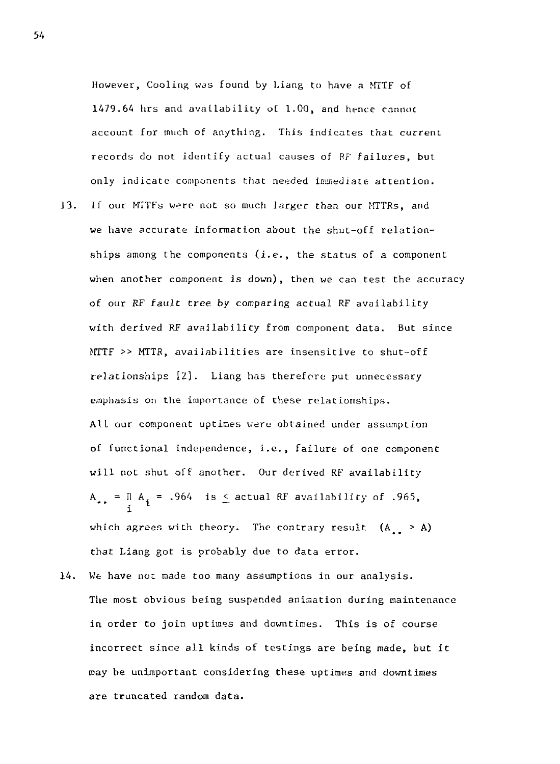However, Cooling was found by Liang to have a MTTF of 1479.64 hrs and availability of 1.00, and hence cannot account for much of anything. This indicates that current records do not identify actual causes of RF failures, but only indicate components that needed immediate attention.  $13.$ If our MTTFs were not so much larger than our MTTRs, and we have accurate information about the shut-off relationships among the components (i.e., the status of a component when another component is down), then we can test the accuracy of our RF fault tree by comparing actual RF availability with derived RF availability from component data. But since MTTF >> MTTR, availabilities are insensitive to shut-off relationships *[2].* Liang has therefore put unnecessary emphasis on the importance of these relationships. All our component uptimes were obtained under assumption of functional independence, i.e., failure of one component will not shut off another. Our derived RF availability A  $_{\star}$  = II A  $_{\star}$  = .964 is  $\leq$  actual RF availability of .965, l which agrees with theory. The contrary result  $(A_1 > A)$ that Liang got is probably due to data error.

 $14.$ We have not made too many assumptions in our analysis. The most obvious being suspended animation during maintenance in order to join uptimes and downtimes. This is of course incorrect since all kinds of testings are being made, but it may be unimportant considering these uptimes and downtimes are truncated random data.

54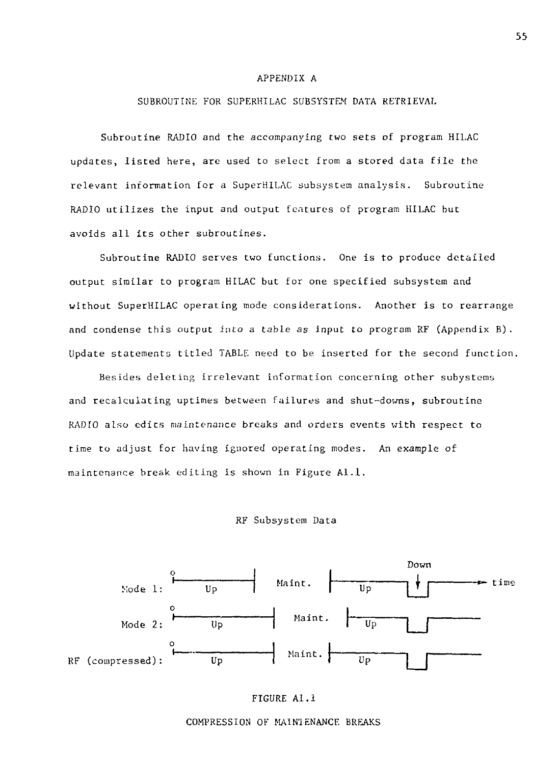### APPENDIX A

## SUBROUTINE FOR SUPERHILAC SUBSYSTEM DATA RETRIEVAL

Subroutine RADIO and the accompanying two sets of program HILAC updates, listed here, are used to select from a stored data file the relevant information for a SuperHILAC subsystem analysis. Subroutine RADIO utilizes the input and output features of program HILAC but avoids all its other subroutines.

Subroutine RADIO serves two functions. One is to produce detailed output similar to program HILAC but for one specified subsystem and without SuperHILAC operating mode considerations. Another is to rearrange and condense this output into a table as input to program RF (Appendix B) . Update statements titled TABLE need to be inserted for the second function.

Besides deleting irrelevant information concerning other subystems and recalculating uptimes between failures and shut-downs, subroutine RADIO also edits maintenance breaks and orders events with respect to time to adjust for having Ignored operating modes. An example of maintenance break editing is shown in Figure Al.l.

### RF Subsystem Data

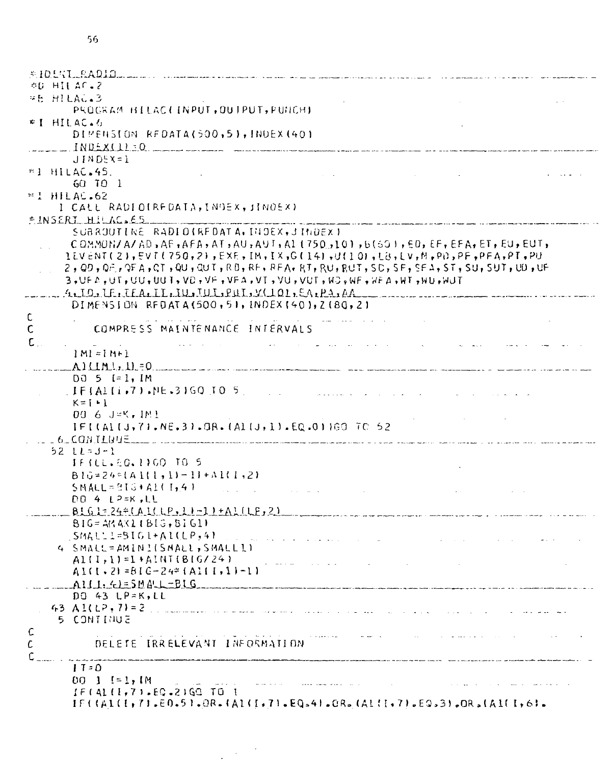```
$10157 RADIO ...
EG HILAC. 2
RE HILAG.3
       PROGRAM HILAC(INPUT, OUTPUT, PUNCH)
* I HII AC. \hbarDIMENSION REDATA(500,51, INDEX (401)
     INDEX(11:0JINDEX=1
=1 HILAC.45.
                                                                         Contractor
       60 10 1#! HILAC.62
     I CALL RADIOIRFDATA, INDEX, JINDEX)
EINSERI HILAC.65
       SUBROUTINE RADIOIREDATA, DIOEX, JINDEX)
       COMMON/A/AD, AF, AFA, AT, AU, AUT, AL (750, 10), B(601, ED, EF, EFA, ET, EU, EUT,
      1EVENT(2),EVT(750,2),EXE,IM,IX,G(14),U(10),L8,LV,M,PD,PF,PFA,PT,PU
      2, QD, QF, QFA, CT, QU, QUT, RB, RF, RFA, RT, RU, RUT, SC, SF, SFA, ST, SU, SUT, UD, UF
      3,UFA,UT,UU,UUT,VO,VF,VFA,VT,VU,VUT,HJ,WF,WFA,HT,NU,WU,
  4.10.1F.IFA.IL, U.W.QUI, V.O.O. EA, P.A.A.
       DIMENSION REDATA(500,51, INDEX(40), 2(80,2)
\mathsf{C}COMPRESS MAINTENANCE INTERVALS
\mathsf{C}\mathsf{C} .
                                         المتوارد والمتواطن والمتواطن والمتعارض والمتواطن
       |M| = |M+1|A) \{\{M_i\}, \{1\} \neq 0DQ 5 I=1, IMIF(A1(i,7), NE.3) GQ TO 5
                                                 المنافر والمستوات والمتحدودة
       K = I + 100 6 J=K, IMI
       IFI(ALIJ, 71, NE, 3), GR, (ALIJ, 1), EQ.01169 TC 52
   16 CONTLUUE \sim . The component is the component of the contract of the component
    52 \text{ } L1 = J-1IFILL.50.1100 TO 5
       B1G = 24<sup>e</sup>A1(1,1) - 11 + A1(1,2)SMALL = 916 + AL(1, 4)state and a strategic control of
                                                                             and the control of the con-
       D0 4 L<sup>2=K</sup>, LL
     BIGI = 24 * (A11 IP, I1 - 1) + A1 ILP, 2)BIG = AKAX1IBIG, BIG1SMAUL1 = SIO1 + AL(LP.4)the contract of the contract of the contract of
     4 SMALL=AMINI(SMALL, SMALLI)
       AI(I,1)=I+AINIGI(24)A1(1, 2) = B16 - 24 = (A111, 1) - 1A111, 4155MALL-BIG
       DQ 43 LP=X, LL43 Al(LP, 7) = 2
                                         المالي المتفاعل المنابي المتعاون المناطقة في
     5 CONTINUE
\mathsf{C}the company of the company of the company of
\mathcal{C}DELETE IRRELEVANT INFORMATION
ſ.
       17 - 000 \text{ } 1 \text{ } 11.1Mand then we have a set \mathcal{L}^{\mathcal{L}} . The set of the set of \mathcal{L}^{\mathcal{L}}IF(41(1,7).EQ.2)GQ TO I
       IF((A1(I+7)-E0-5)-OR-(A1(I+7)-E0-4)-OR-(A1(I+7)-E0-3)-OR-(A1(I+6)-
```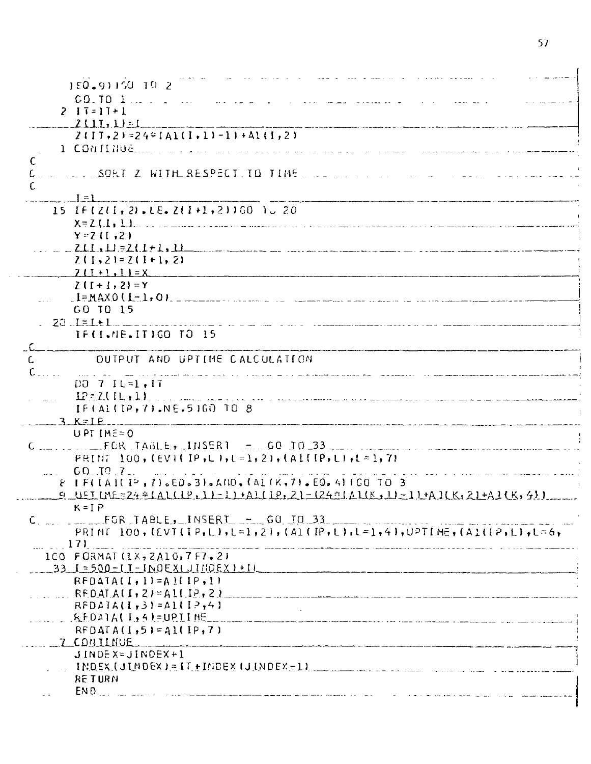| 150.91150.10.2                                                                                                                                                                                                                                                                                                                               |
|----------------------------------------------------------------------------------------------------------------------------------------------------------------------------------------------------------------------------------------------------------------------------------------------------------------------------------------------|
| $60.70$ 1, $1.1$<br>ing a substitution of the contract of the<br>and and a                                                                                                                                                                                                                                                                   |
| $2 \mid 1 = 11 + 1$                                                                                                                                                                                                                                                                                                                          |
| $2(11,1)$ = 1                                                                                                                                                                                                                                                                                                                                |
| $2$ (IT, 2)=24*(Al(I, 1)-1)+Al(I, 2)                                                                                                                                                                                                                                                                                                         |
|                                                                                                                                                                                                                                                                                                                                              |
| C                                                                                                                                                                                                                                                                                                                                            |
| TELLISORT Z WITH RESPECT TO TIME<br>$\mathcal{L}$<br>$\mathbf{r}$ , $\mathbf{r}$                                                                                                                                                                                                                                                             |
| C.                                                                                                                                                                                                                                                                                                                                           |
|                                                                                                                                                                                                                                                                                                                                              |
| 15 IF(Z(I, 2), LE, Z(I+1, 2))GO 10 20                                                                                                                                                                                                                                                                                                        |
|                                                                                                                                                                                                                                                                                                                                              |
| $Y = Z (I, 2)$                                                                                                                                                                                                                                                                                                                               |
| $\ldots$ $\ldots$ $\ldots$ $\ldots$ $\ldots$ $\ldots$ $\ldots$ $\ldots$ $\ldots$ $\ldots$ $\ldots$ $\ldots$ $\ldots$ $\ldots$ $\ldots$ $\ldots$ $\ldots$ $\ldots$ $\ldots$ $\ldots$ $\ldots$ $\ldots$ $\ldots$ $\ldots$ $\ldots$ $\ldots$ $\ldots$ $\ldots$ $\ldots$ $\ldots$ $\ldots$ $\ldots$ $\ldots$ $\ldots$ $\ldots$ $\ldots$ $\ldots$ |
| $2(1,2)=2(1+1,2)$                                                                                                                                                                                                                                                                                                                            |
| $7(1+1)11=X$                                                                                                                                                                                                                                                                                                                                 |
| $Z(I+1,2)=Y$                                                                                                                                                                                                                                                                                                                                 |
|                                                                                                                                                                                                                                                                                                                                              |
| GO TO 15                                                                                                                                                                                                                                                                                                                                     |
|                                                                                                                                                                                                                                                                                                                                              |
| IF(I.NE.ITIGO TO 15                                                                                                                                                                                                                                                                                                                          |
|                                                                                                                                                                                                                                                                                                                                              |
| OUTPUT AND UPTIME CALCULATION<br>C.                                                                                                                                                                                                                                                                                                          |
| $C_{-1}, \ldots$<br>المتعادل للمناد                                                                                                                                                                                                                                                                                                          |
| DO 7 IL=1.1T                                                                                                                                                                                                                                                                                                                                 |
|                                                                                                                                                                                                                                                                                                                                              |
| IF(AL(IP,7), NE.51GO TO 8                                                                                                                                                                                                                                                                                                                    |
| $-3. K = IP$                                                                                                                                                                                                                                                                                                                                 |
| UPT IME=0                                                                                                                                                                                                                                                                                                                                    |
| $C_{\text{max}}$ , $C_{\text{max}}$ , $EOR$ , $TABLE$ , $HMSER1$ , $C_{\text{max}}$ , $GQ$ , $TO$ , $33$ , $C_{\text{max}}$ , $C_{\text{max}}$ , $C_{\text{max}}$ , $C_{\text{max}}$ , $C_{\text{max}}$                                                                                                                                      |
| PRINT 100, (EVII IP, L), $t = 1$ , 2), $(A1([P, L), L = 1, 7)$                                                                                                                                                                                                                                                                               |
| 60.70.7<br>المنافسات الشجوع والاستدار الأمريكي الماري المنافس والمنافس المنافس<br>and the con-                                                                                                                                                                                                                                               |
| 8   F((A1(I°,7)。EQ。3)。AND,(A1(K,7)。EQ。4)1GQ TO 3                                                                                                                                                                                                                                                                                             |
| 9 UEIMEEZA * (ALLIP, 11-1) * ALLIP, 21-(24 * (ALIK, 11-1) * A.ILK, 21 + A.ILK, 41)                                                                                                                                                                                                                                                           |
| $K = IP$                                                                                                                                                                                                                                                                                                                                     |
| PRINT 100, (EVT(IP,L),L=1,2), (A1(IP,L),L=1,4),UPTINE, (A1(IP,L),L=6,                                                                                                                                                                                                                                                                        |
| $171$ and $171$                                                                                                                                                                                                                                                                                                                              |
| 100 FORMAT (1X, 2A10, 7F7.2)                                                                                                                                                                                                                                                                                                                 |
| $1.23$ $1.500 - 1.1 - 1$ NO EXCJING EXP + 11                                                                                                                                                                                                                                                                                                 |
| $RFOATALI, I!=AILIP, I$                                                                                                                                                                                                                                                                                                                      |
|                                                                                                                                                                                                                                                                                                                                              |
| $RFDAIA(I,31=ALI.2,41$                                                                                                                                                                                                                                                                                                                       |
|                                                                                                                                                                                                                                                                                                                                              |
| $RFDATA(I,51=AI(IP,7))$                                                                                                                                                                                                                                                                                                                      |
| 7 COBIINUE -                                                                                                                                                                                                                                                                                                                                 |
| $JINDE X = JINDE X + I$                                                                                                                                                                                                                                                                                                                      |
|                                                                                                                                                                                                                                                                                                                                              |
| <b>RETURN</b>                                                                                                                                                                                                                                                                                                                                |
| END <sub>.</sub>                                                                                                                                                                                                                                                                                                                             |
|                                                                                                                                                                                                                                                                                                                                              |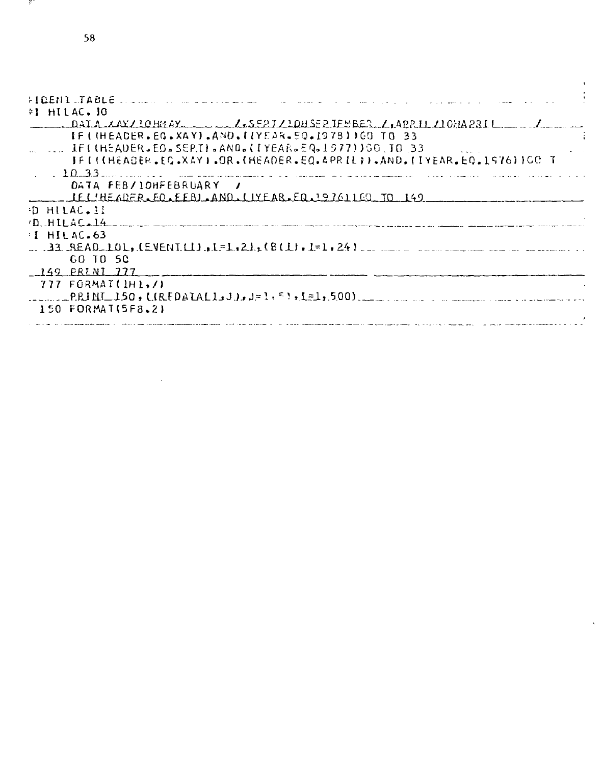$\ddot{\phantom{0}}$ 

-97

ï

 $\hat{\mathbf{v}}$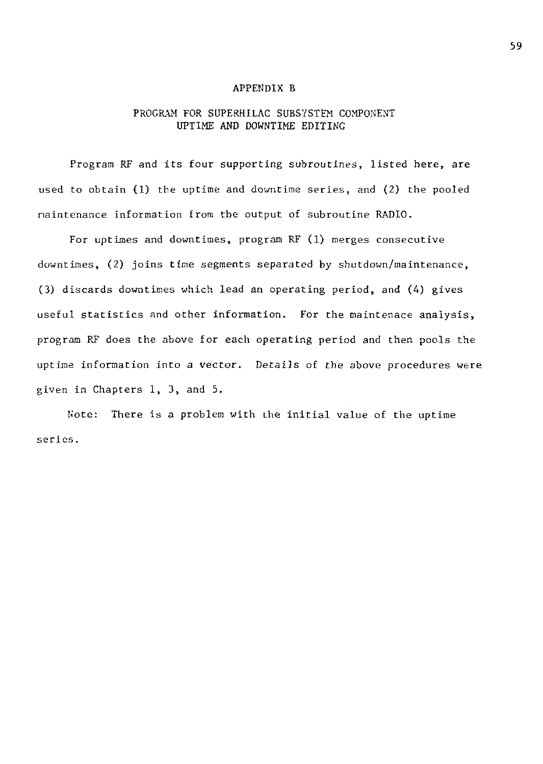### APPENDIX B

## PROGRAM FOR SUPERHILAC SUBSYSTEM COMPONENT UPTIME AND DOWNTIME EDITING

Program RF and its four supporting subroutines, listed here, are used to obtain (1) the uptime and downtime series, and (2) the pooled maintenance information from the output of subroutine RADIO.

For uptimes and downtimes, program RF (1) merges consecutive downtimes, (2) joins time segments separated by shutdown/maintenance, (3) discards downtimes which lead an operating period, and (4) gives useful statistics and other information. For the maintenace analysis, program RF does the above for each operating period and then pools the uptime information into a vector. Details of the above procedures were given in Chapters 1, 3, and 5.

Note: There is a problem with Lhe initial value of the uptime series.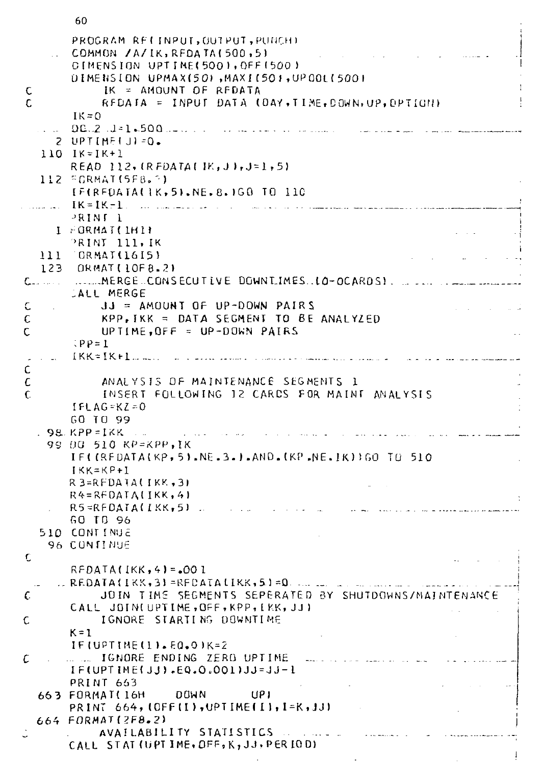```
PROGRAM RECINPUT, OUTPUT, PUNCHI
      COMMON / A/IK, REDATA(500,51
      CIMENSION UPTIME(500), OFF(500)
      01MENSION UPMAX(50), MAX1(50), UP00L(500)
Ċ
           IK = AMOUNT OF REDATA
Ċ
           REDATA = INPUT DATA (DAY, TIME, DOWN, UP, OPTICN)
      IK=0DC.2.1 - 1.500...2 UPTIMEU1 = 0.110 1K = 1K + 1READ 112, (RFDATA(IK, J), J=1, 5)
  112 FORMAT(5F8.3)
      IFIREDATALIK, 51.NE.8.1GO TO 110
      K = K - 1, ... ...
      PRINT 1
    I FORMAT(IHI)
      PRINT 111, IK
  111 GRMAT(1615)
  123 ORMAT(10FB.2)
LALL MERGE
Ċ
          JJ = AMUUNTOF UP-DOWN PAIRSKPP.IKK = DATA SEGMENT TO BE ANALYZED
C
C
          UPTIME.OFF = UP-DOWN PAIRS
      \mathcal{P} = 1IKK = IK + L_{max}\mathsf{C}\epsilonANALYSIS OF MAINTENANCE SEGMENTS 1
\mathbf{C}INSERT FOLLOWING 12 CARDS FOR MAINT ANALYSIS
      IFLAG=KZ=0GO TO 99
  . 98. KPP = IKK ...
   99 DG 510 KP=KPP,IK
      IF((REDATA(KP, 5).NE.3.).AND.(KP.NE.IK))GO TO 510
      IKK=KP+IR3=RFDATA(IKK.3)
      R4 = RFOATALIKK, 41R5=RFDATA(IKK,5)
      GO TD 96
  510 CONTINUE
   96 CONTINUE
Ċ
      RFDATA(IKK, 4) = .001\therefore REDATA(IKK, 3) = REDATA(IKK, 5) = 0. ... ...
          JOIN TIME SEGMENTS SEPERATED BY SHUTDOWNS/MAINTENANCE
t.
      CALL JOIN(UPTIME, OFF, KPP, [KK, JJ]
          IGNORE STARTING DOWNTIME
C
      K = 1IF(UPTIME(1).EQ.O)K=2
     ..... IGNORE ENDING ZERO UPTIME
C
      IF(UPTIME(JJ).EQ.0.001)JJ=JJ-1
      PRINT 663
                              UPI663 FORMAT(16H DOWN
      PRINT 664, (OFF(I), UPTIME(I), I=K, JJ)
 664 FORMAT (2FB.2)
          AVAILABILITY STATISTICS
      CALL STAT (UPTIME, OFF, K, JJ, PERIOD)
```
60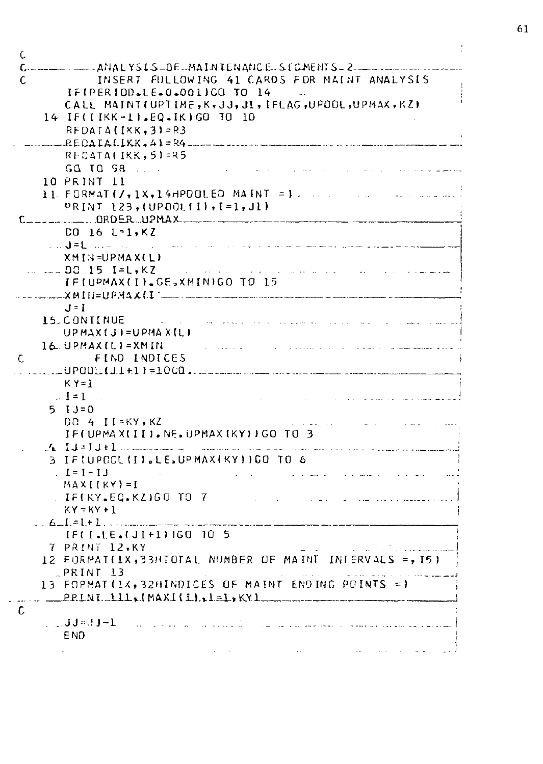| INSERT FULLOWING 41 CARDS FOR MAINT ANALYSIS                                                                                                                                                                                                                                                                                                                                                                                                 |
|----------------------------------------------------------------------------------------------------------------------------------------------------------------------------------------------------------------------------------------------------------------------------------------------------------------------------------------------------------------------------------------------------------------------------------------------|
| IF(PERIOD.LE.0.001)GO TO 14<br>$\sim$                                                                                                                                                                                                                                                                                                                                                                                                        |
| CALL MAINT(UPTIME, K, JJ, JI, IFLAG, UPOOL, UPMAX, KZ)                                                                                                                                                                                                                                                                                                                                                                                       |
| 14 IF((IKK-1), EQ. IK) GO TO 10                                                                                                                                                                                                                                                                                                                                                                                                              |
| $RFDATAIIKK-31=83$<br>$\ldots$ REDAIALIKK, A $\lambda$ = R4 $\ldots$ and a second component of the second second                                                                                                                                                                                                                                                                                                                             |
| RFCATA(IKK,51=R5                                                                                                                                                                                                                                                                                                                                                                                                                             |
| $GQ$ to $GQ$                                                                                                                                                                                                                                                                                                                                                                                                                                 |
| and a strong contractor<br>10 PRINT 11                                                                                                                                                                                                                                                                                                                                                                                                       |
|                                                                                                                                                                                                                                                                                                                                                                                                                                              |
| $PRINT_123, (UPOOL11), I=1, J1)$                                                                                                                                                                                                                                                                                                                                                                                                             |
|                                                                                                                                                                                                                                                                                                                                                                                                                                              |
| $DQ$ 16 $L=1,KZ$                                                                                                                                                                                                                                                                                                                                                                                                                             |
| $\mathbf{y} = \mathbf{y} + \mathbf{y}$ , where $\mathbf{y} = \mathbf{y}$<br><u> 1965 - Andrew Marian, marka masa masa masa sa </u>                                                                                                                                                                                                                                                                                                           |
| <b>XMIN=UPMAX(L)</b>                                                                                                                                                                                                                                                                                                                                                                                                                         |
| .__.DQ 15 I≃L,KZ<br>contact of the contact                                                                                                                                                                                                                                                                                                                                                                                                   |
| IFIUPMAXII).GE.XMINIGO TO 15                                                                                                                                                                                                                                                                                                                                                                                                                 |
|                                                                                                                                                                                                                                                                                                                                                                                                                                              |
| $J = I$                                                                                                                                                                                                                                                                                                                                                                                                                                      |
| 15. CONTINUE<br>سافي فستواد الوارد وساري وواجدت المواطنوس مداريا فالعاد<br>and a company                                                                                                                                                                                                                                                                                                                                                     |
| UP MAX (J) = UPMAX (L)                                                                                                                                                                                                                                                                                                                                                                                                                       |
| $16.0$ PMAX $(L)$ =XM $M$<br>and the second company of the second company of the second company of the second company of the second company of the second company of the second company of the second company of the second company of the second company o                                                                                                                                                                                  |
| FIND INDICES                                                                                                                                                                                                                                                                                                                                                                                                                                 |
|                                                                                                                                                                                                                                                                                                                                                                                                                                              |
| $KY = I$                                                                                                                                                                                                                                                                                                                                                                                                                                     |
| $-1=1$                                                                                                                                                                                                                                                                                                                                                                                                                                       |
| $513=0$                                                                                                                                                                                                                                                                                                                                                                                                                                      |
| $DC$ 4 $I$ $I$ = $KY$ $KZ$<br>and a state of the                                                                                                                                                                                                                                                                                                                                                                                             |
| IFIUPMAXIII).NE.UPMAXIKYIIGO TO 3                                                                                                                                                                                                                                                                                                                                                                                                            |
| $\frac{1}{2}$ $\frac{1}{2}$ $\frac{1}{2}$ $\frac{1}{2}$ $\frac{1}{2}$ $\frac{1}{2}$ $\frac{1}{2}$ $\frac{1}{2}$ $\frac{1}{2}$ $\frac{1}{2}$ $\frac{1}{2}$ $\frac{1}{2}$ $\frac{1}{2}$ $\frac{1}{2}$ $\frac{1}{2}$ $\frac{1}{2}$ $\frac{1}{2}$ $\frac{1}{2}$ $\frac{1}{2}$ $\frac{1}{2}$ $\frac{1}{2}$ $\frac{1}{2}$<br>.<br>The first contract of the contract of the contract of the second state of the second contract of the contract of |
| 3 IFIUPOCLIII.LE.UPMAXIKYIIGO TO 6                                                                                                                                                                                                                                                                                                                                                                                                           |
| $-1 = 1 - 1$<br>ومتهدد والداما والمناور والمتعد فالداري الماسط والماري                                                                                                                                                                                                                                                                                                                                                                       |
| $MAXIf$ $XY$ ) = I                                                                                                                                                                                                                                                                                                                                                                                                                           |
| . IF(KY.EQ.KZ)GO TO 7                                                                                                                                                                                                                                                                                                                                                                                                                        |
| $XY = KY + 1$                                                                                                                                                                                                                                                                                                                                                                                                                                |
|                                                                                                                                                                                                                                                                                                                                                                                                                                              |
| IF(I.LE.(J1+1)1GO TO 5                                                                                                                                                                                                                                                                                                                                                                                                                       |
| 7 PRINT 12, KY                                                                                                                                                                                                                                                                                                                                                                                                                               |
| 12 FORMAT(1X,33HTOTAL NUMBER OF MAINT INTERVALS =, I5)                                                                                                                                                                                                                                                                                                                                                                                       |
| PRINT 13                                                                                                                                                                                                                                                                                                                                                                                                                                     |
| 13 FOPMAT(1X,32HINDICES OF MAINT ENDING POINTS =)                                                                                                                                                                                                                                                                                                                                                                                            |
| $\angle$ PPINI. 111, (MAXI(I), 1=1, KY1                                                                                                                                                                                                                                                                                                                                                                                                      |
|                                                                                                                                                                                                                                                                                                                                                                                                                                              |
| ___JJ=!J-L                                                                                                                                                                                                                                                                                                                                                                                                                                   |
| <b>END</b>                                                                                                                                                                                                                                                                                                                                                                                                                                   |
|                                                                                                                                                                                                                                                                                                                                                                                                                                              |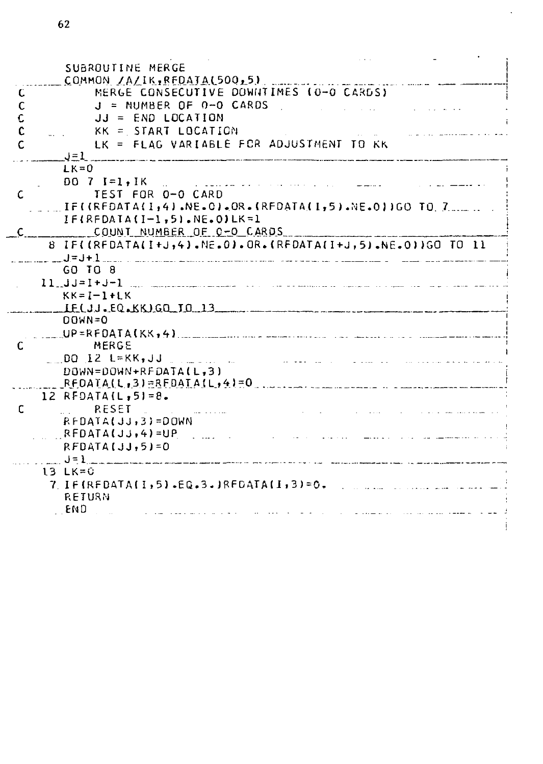|    | SUBROUTINE MERGE                                                         |
|----|--------------------------------------------------------------------------|
|    | COMMON /A/IK, REDATA(500, 5)                                             |
| ι  | MERGE CONSECUTIVE DOWNTIMES (0-0 CARDS)                                  |
| C  | $J = NUMBER OF O-O CARDS$                                                |
| c  | $JJ = END LOGITION$                                                      |
| c  | KK = START LOCATION                                                      |
| c  | LK = FLAG VARIABLE FCR ADJUSTMENT TO KK                                  |
|    | $J=1$                                                                    |
|    | $LK = 0$                                                                 |
|    | $D0$ 7 I=1, IK<br>$\mathbf{r}$ . The state of the state $\mathbf{r}$     |
| c  | TEST FOR 0-0 CARD                                                        |
|    | IF((REDATA(I,4).NE.O).OR.(REDATA(I,5).NE.O))GO TO 7                      |
|    | $IF$ $(RF$ $DATA$ $(I-1,5)$ .NE.0) $LK=1$                                |
| C. | COUNT NUMBER OF 0-0 CARDS                                                |
|    | 8 IF((RFDATA(I+J,4),NE.0).OR.(RFDATA(I+J,5).NE.0))GO TO 11               |
|    |                                                                          |
|    | GO TO 8                                                                  |
|    | $11 \quad 33 = 1 + 3 - 1$<br>and the company of the company              |
|    | $KK = I - I + LK$                                                        |
|    | $IF(JJ, EQ_{A}KK)GQ_{A}JQ_{A}J3$                                         |
|    | $DOWN = 0$                                                               |
|    |                                                                          |
| C  | MERGE                                                                    |
|    | $DQ$ i2 $L=KK, JJ$                                                       |
|    | DOWN=DOWN+RFDATA(L.3)                                                    |
|    |                                                                          |
|    | $12$ RFDATA(L,5)=8.                                                      |
| c  | <b>RESET</b>                                                             |
|    | $RFDATALJJ, 3$ = DOWN                                                    |
|    | $RFDATA(JJ,4)=UP$                                                        |
|    | $RFDATA[JJ,5]=0$                                                         |
|    | $\begin{array}{c} 1 & \text{if } \mathbf{0} \neq \mathbf{0} \end{array}$ |
|    | 13 LK=0                                                                  |
|    | $7 \text{ IF}$ (REDATA(1,5).EG.3.)REDATA(1,3)=0.                         |
|    | RETURN                                                                   |
|    | END                                                                      |
|    |                                                                          |

 $\ddot{\phantom{0}}$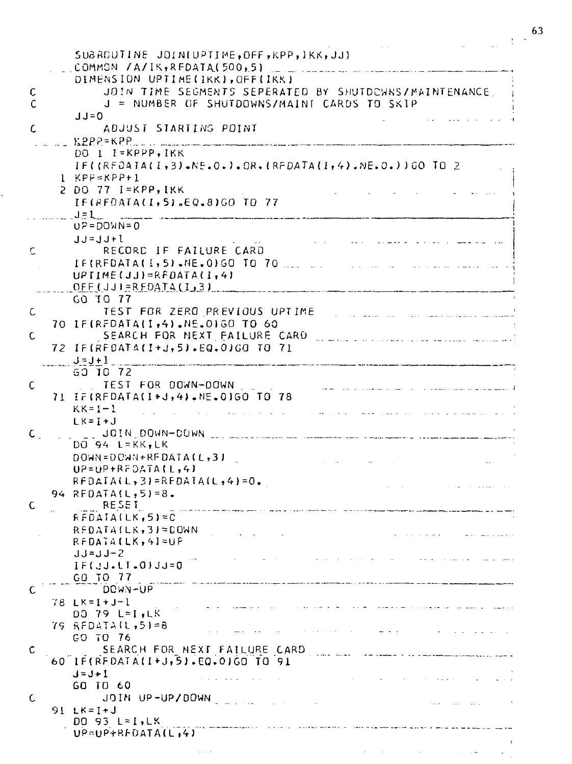|    |                                                                                                                                                               | 63<br>$\hat{A}$ |
|----|---------------------------------------------------------------------------------------------------------------------------------------------------------------|-----------------|
|    | SUBROUTINE JOIN(UPTIME, OFF, KPP, IKK, JJ)                                                                                                                    |                 |
|    | COMMON /A/IK, RFDATA(500,5)<br>DIMENSION UPTIME(IKK), OFF(IKK)                                                                                                |                 |
| c  | JOIN TIME SEGMENTS SEPERATED BY SHUTDOWNS/MAINTENANCE                                                                                                         |                 |
| С  | J = NUMBER OF SHUTDOWNS/MAINT CARDS TO SKIP                                                                                                                   |                 |
|    | JJ=0                                                                                                                                                          |                 |
| c  | ADJUST STARTING POINT                                                                                                                                         |                 |
|    | $KPPP = KPP$<br>DO I I=KPPP, IKK                                                                                                                              |                 |
|    | $IF((REDAIA(I,3).NE.O.).OR.(REDATA(I,4).NE.O.)) GO TO 2$                                                                                                      |                 |
|    | $1$ KPP=KPP+1                                                                                                                                                 |                 |
|    | 2 DO 77 I=KPP,IKK                                                                                                                                             |                 |
|    | IF(REDATA(I,5).EQ.8)GO TO 77<br>$J = L$                                                                                                                       |                 |
|    | $UP = DOWN = 0$                                                                                                                                               |                 |
|    | $JJ = JJ + 1$                                                                                                                                                 |                 |
| С  | RECORD IF FAILURE CARD                                                                                                                                        |                 |
|    | IF(REDATA(1,5).NE.0)GO TO 70<br>$UPIIME(JJ)=RFDATALI, 41$                                                                                                     |                 |
|    | $OFF$ (JJ) = R FDATA (I_3)<br>.<br>1911 – La La Communicación de Antichente de Maria de Antichente de Antichente de Antichente de Antichente de A             |                 |
|    | GO TO 77                                                                                                                                                      |                 |
| C  | TEST FOR ZERO PREVIOUS UPTIME                                                                                                                                 |                 |
| C  | 70 IF(REDATA(I,4).NE.0160 TO 60<br>SEARCH FOR NEXT FAILURE CARD                                                                                               |                 |
|    | .<br>Se mental de ser el producto del la manda al manda al manda al mental de la contradició de la contradició del<br>72 IF(RF0ATA(I+J,5).EQ.0)GO TO 71       |                 |
|    | $J=J+1$                                                                                                                                                       |                 |
|    | GO TO 72                                                                                                                                                      |                 |
| C  | TEST FOR DOWN-DOWN<br>71 IF(REDATA(I+J,4).NE.01GO TO 78                                                                                                       |                 |
|    | $KK = I - 1$<br><b>Service</b> State                                                                                                                          |                 |
|    | $LK = I + J$                                                                                                                                                  |                 |
| C. | JOIN DOMN-DUMN<br><u>and communications of the communication of the se</u>                                                                                    |                 |
|    | $DQ$ 94 L=KK, LK<br>DOWN=DOWN+REDATA(L,3)                                                                                                                     |                 |
|    | $UP=UP+RFDATA(L,4)$                                                                                                                                           |                 |
|    | $RFDATA(L,3)=RFDATA(L,4)=0.$                                                                                                                                  |                 |
|    | 94 REDATA(L, 5)=8.                                                                                                                                            |                 |
| c  | <b>RESET</b><br>$FFDAIA(LK, 5) = C$                                                                                                                           |                 |
|    | $RFDATA(LK, 3) = DQWN$                                                                                                                                        |                 |
|    | RFDATA(LK,4]≈UP                                                                                                                                               |                 |
|    | $JJ=JJ-2$<br>$IF(JJ_{\bullet}LI_{\bullet}OJJ_{\bullet}=0$                                                                                                     |                 |
|    | GA TO 77                                                                                                                                                      |                 |
| C  | DOWN-UP                                                                                                                                                       |                 |
|    | 78 LK=I+J-l<br><u> 1965 – Landan Alemania, mangang</u><br>الفارية المتعارض والمتارين المتعارف المستقير                                                        |                 |
|    | DO 79 L≖I.LK<br>$75$ RFDATA(1,5)=8                                                                                                                            |                 |
|    | والتواوي والمتروح والمتناد والمتحاسبات المتحاد والمتحدد والتناس المتناوبة والمسا<br>GO TO 76                                                                  |                 |
| c  | SEARCH FOR NEXT FAILURE CARD                                                                                                                                  |                 |
|    | 60 IF(RFDATA(I+J,5).EQ.0)GO TO 91                                                                                                                             |                 |
|    | $J = J + I$<br>المتحجم والمنافي والمحارب والمستحيل والمتناوب والمتناوب والمتناوب والمتحدث والمحارب والمتحدث<br>GO TO 60                                       |                 |
| C  | JOIN UP-UP/DOWN CONTROL CONTROL<br>and the company of                                                                                                         |                 |
|    | 91 LK=I+J                                                                                                                                                     |                 |
|    | $D0$ 93 L=1, LK<br>.<br>وی در دست های دوران این از دوران ایران به است و به این این این این ایران این این این این این ایران این ایران ا<br>$UP=UP+RFDATA(L,4)$ |                 |
|    |                                                                                                                                                               |                 |
|    |                                                                                                                                                               |                 |

Ĉ,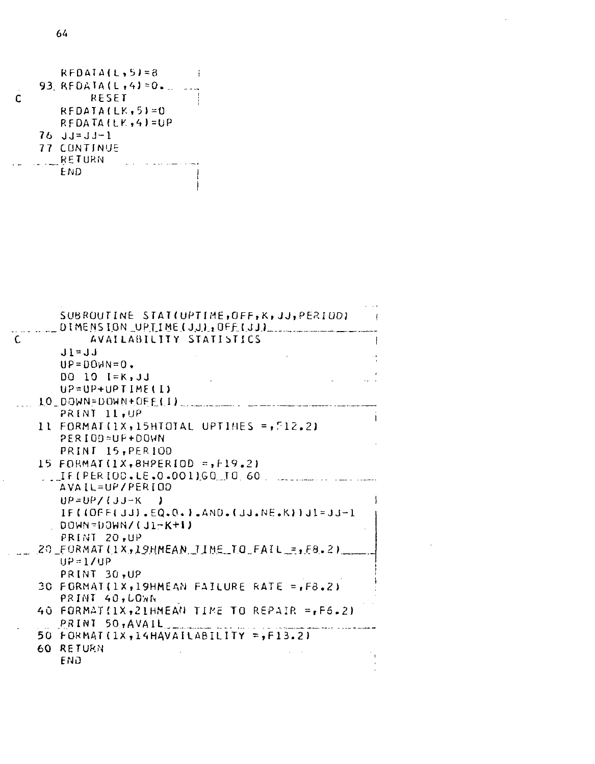RFDATA(L,5)=8<br>93. RFDATA(L,4)=0. ... ...<br>RESET  $\overline{c}$  $RFDATA(LK, 5) = 0$ RFDATA(LY,4)=UP  $76 \text{ J} - 1 \text{ J} - 1$ **77 CONTINUE** RETURN  $\sim$   $\sim$ المسترد والمسترد ولايت END  $\mathbf{1}$ Ť

|    | SUBROUTINE STAT(UPTIME,OFF,K,JJ,PERIOD)<br>$\rightarrow$ |
|----|----------------------------------------------------------|
| C. | DIMENSION UPTIME(JJ), OFF(JJ)<br>AVAILABILITY STATISTICS |
|    |                                                          |
|    | $J1 = JJ$                                                |
|    | $UP = DOWN = 0$ .                                        |
|    | $DQ$ 10 $I = K$ , JJ                                     |
|    | $U$ ?= $U$ P+ $U$ PTIME(I)                               |
|    | 10 DƏWN≃DOWN+OFF(I)                                      |
|    | PRINT 11, UP                                             |
|    | 11 FORMAT(1X,15HTOTAL UPTIMES =,512.2)                   |
|    | PERIOD=UP+DOWN                                           |
|    | PRINT 15, PER10D                                         |
|    |                                                          |
|    | IF(PERIOD.LE.0.001)GO TO 60                              |
|    | AVAIL=UP/PERIOD                                          |
|    | $UP = UP / (JJ-K)$                                       |
|    | $IF((OFF(JJ),EQ,0,1,AND,(JJ,NE,K))JI=JJ-I$               |
|    | . DOWN=DOWN/(J1-K+∣)                                     |
|    | PRINT 20.UP                                              |
|    | 20 FORMAT(1X,19HMEAN TIME TO FAIL =, F8.2)               |
|    | $UP = 1/UP$                                              |
|    | PRINT 30.UP                                              |
|    | 30 FORMAT(1X,19HMEAN FAILURE RATE = F8.2)                |
|    | PRINT 40, LOWN                                           |
|    | 40 FORMAT(1X,21HMEAN TIME TO REPAIR = F6.2)              |
|    | PRINI 50,AVAIL                                           |
|    | 50 FORMAT(1X,14HAVAILABILITY =,F13.2)                    |
|    | 60 RETURN                                                |
|    | END                                                      |

 $\sim$   $\sim$  .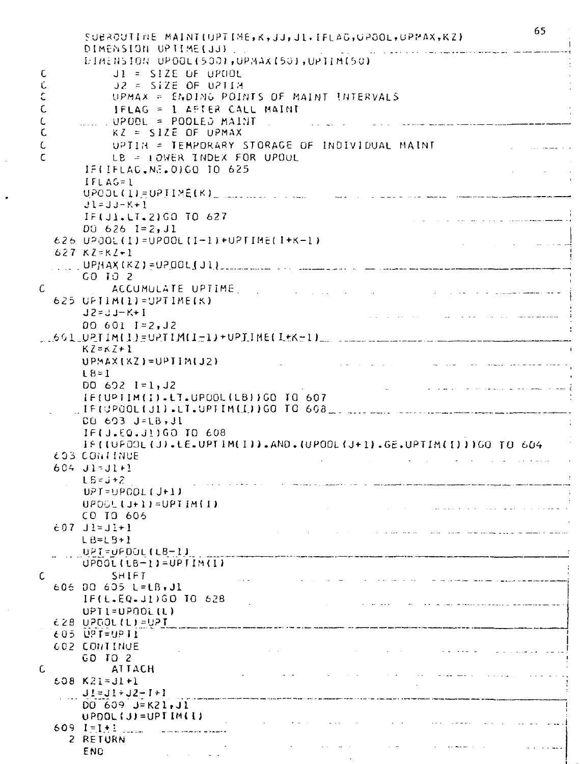|             | SUBROUTINE MAINT(UPTIME,K,JJ,JL,IFLAG,GPGOL,GPMAX,KZ)                                                                                                                                                                                                     | 65                            |
|-------------|-----------------------------------------------------------------------------------------------------------------------------------------------------------------------------------------------------------------------------------------------------------|-------------------------------|
|             | DIMENSION UPTIME(JJ)                                                                                                                                                                                                                                      |                               |
|             | DIMENSION UPOOL(500), UPMAX(50), UPIIM(50)                                                                                                                                                                                                                |                               |
| C           | $JI = SIZE OF UPUOL$                                                                                                                                                                                                                                      |                               |
| Ū           | $JZ = SIZE OF U21IA$                                                                                                                                                                                                                                      |                               |
| c           | UPMAX = ENDING POINTS OF MAINT INTERVALS                                                                                                                                                                                                                  |                               |
| $\mathsf C$ | IFLAG = 1 AFTER CALL MAINT                                                                                                                                                                                                                                |                               |
| C           | ……… UPODL = POOLEJ MAINT …                                                                                                                                                                                                                                |                               |
| C           | $\mathbf{r}$ , and the same construction of the same construction of the same construction of the same construction of the same construction of the same construction of the same construction of the same construction of the sa<br>$KZ = SIZE$ OF UPMAX |                               |
|             |                                                                                                                                                                                                                                                           |                               |
| C           | UPTIN = TEMPORARY STORAGE OF INDIVIDUAL MAINT                                                                                                                                                                                                             | and the second control of the |
| C           | LB = LOWER INDEX FOR UPOUL                                                                                                                                                                                                                                |                               |
|             | IFIIFLAC.NE.0)GO TO 625                                                                                                                                                                                                                                   |                               |
|             | $IFLAG=1$                                                                                                                                                                                                                                                 |                               |
|             | UPOOL(1)=UPJIME(K), and then a sense that a series of the series and the contract of the series of the series                                                                                                                                             |                               |
|             | $Jl = JJ - K + l$                                                                                                                                                                                                                                         |                               |
|             | IF(J1.LT.2)GO TO 627<br>a series a construction of the component of                                                                                                                                                                                       |                               |
|             | $DU$ 626 $I = 2, J1$<br>$626$ UPOOL(I)=UPOOL(I-I)+UPTIME(I+K-1)                                                                                                                                                                                           |                               |
|             | ستستعد المتاريخ والمرادي والمرادي                                                                                                                                                                                                                         |                               |
|             | $627$ $KZ=KZ+1$                                                                                                                                                                                                                                           |                               |
|             |                                                                                                                                                                                                                                                           |                               |
| $\epsilon$  | $60$ $10$ $2$                                                                                                                                                                                                                                             |                               |
|             | ACCUMULATE UPTIME<br>المستخدم المستشفى وسيستهد الحارب المتعارف التواريخ المنادر المنادر المنادر المنادر المتعارف المتعارف المتعارف<br>625 UPTIM(1)=UPTIME(K)                                                                                              |                               |
|             |                                                                                                                                                                                                                                                           |                               |
|             | J2=JJ-K+I<br>in a company of the company of the company of the company of the company of the company of the company of the company of the company of the company of the company of the company of the company of the company of the company               |                               |
|             | $006011 = 2,12$                                                                                                                                                                                                                                           |                               |
|             | $1.601.0211M(1) = 0211M(1-1)+0P11ME(1+k+1)$                                                                                                                                                                                                               |                               |
|             | $KZ = KZ + 1$                                                                                                                                                                                                                                             |                               |
|             | $UPMAX[KZ]=UPTIM(JZ)$<br>المناكست كمعاملة وكالمهمة المجار الحادي المنادر المنادر والمنادر المنادر                                                                                                                                                         |                               |
|             | $L8=1$<br>$D0 692 1 = 1, J2$                                                                                                                                                                                                                              |                               |
|             | أوالطواء التصريف وللمحتمل والمحافرة الماطور والماري المتحدث والمنافر<br>IF(UPTIM(I).LT.UPDOL(LB))GO TO 607                                                                                                                                                |                               |
|             |                                                                                                                                                                                                                                                           |                               |
|             | CO 693 J=LB, Jl                                                                                                                                                                                                                                           |                               |
|             | IF(J.EQ.JIIGO ID 608                                                                                                                                                                                                                                      |                               |
|             | IF (LUPOOL (J).LE.UPTIM(I)).AND. (UPOOL (J+1).GE.UPTIM(I)))GO TO 604                                                                                                                                                                                      |                               |
|             | <b>603 CONTINUE</b><br>and a straight and a straight and                                                                                                                                                                                                  |                               |
|             | 604 J1=J1+1                                                                                                                                                                                                                                               |                               |
|             | $L5 = j + 2$                                                                                                                                                                                                                                              |                               |
|             | $UPI = UPOOL(J+1)$                                                                                                                                                                                                                                        |                               |
|             | $UPOOL$ (J+1) = UPT IM(I)<br>ه<br>الاستخدام والمناطق المستندر به والتيابين مستقل المناطق المناطق المناطق                                                                                                                                                  |                               |
|             | CO IO 605                                                                                                                                                                                                                                                 |                               |
|             | $607$ $J1 = J1 + 1$<br>للمساوية فسنسرط الركوك يستمد سامدا العمادة المداري المدمد المداري والمناد                                                                                                                                                          |                               |
|             | $LB = LB + I$                                                                                                                                                                                                                                             |                               |
|             | UPT=UPDOL(LB-1)                                                                                                                                                                                                                                           |                               |
|             | $UPOOL(LB-1)=UPIIM(1)$                                                                                                                                                                                                                                    |                               |
| С           | SHIFT<br>مستقصيتهم والمهوان مستبقا مستعددهم المتاريخ والمرادع والمتاريخ والمنابين والمتارين والمرادي والمنادر المتعارفة                                                                                                                                   |                               |
|             | 606 DO 605 L=LB,J1                                                                                                                                                                                                                                        |                               |
|             | IF(L.EQ.J1)GO TO 628<br>$\sim$ 100 $\mu$                                                                                                                                                                                                                  |                               |
|             | UPT1=UPO01(L)                                                                                                                                                                                                                                             |                               |
|             | 628 UPDOL(L)=UPT                                                                                                                                                                                                                                          |                               |
|             | 605 UPT=9PT1                                                                                                                                                                                                                                              |                               |
|             | 602 CONTINUE<br>$\sim$ 100 $\mu$                                                                                                                                                                                                                          |                               |
|             | GO TO 2                                                                                                                                                                                                                                                   |                               |
| C           | ATTACH                                                                                                                                                                                                                                                    |                               |
|             | $608 K21 = 31 + 1$                                                                                                                                                                                                                                        |                               |
|             | $J! = J! + J2 - I + I$                                                                                                                                                                                                                                    |                               |
|             | $DO 609 J = K21.JI$                                                                                                                                                                                                                                       |                               |
|             | $UPDOL$ $(J) = UP$ $I$ $IM$ $(I)$                                                                                                                                                                                                                         |                               |
|             | 609 $I = I + 1$                                                                                                                                                                                                                                           |                               |
|             | 2 RETURN                                                                                                                                                                                                                                                  |                               |
|             | END                                                                                                                                                                                                                                                       |                               |

 $\hat{\boldsymbol{\beta}}$ 

 $\ddot{\phantom{1}}$ 

 $\sim$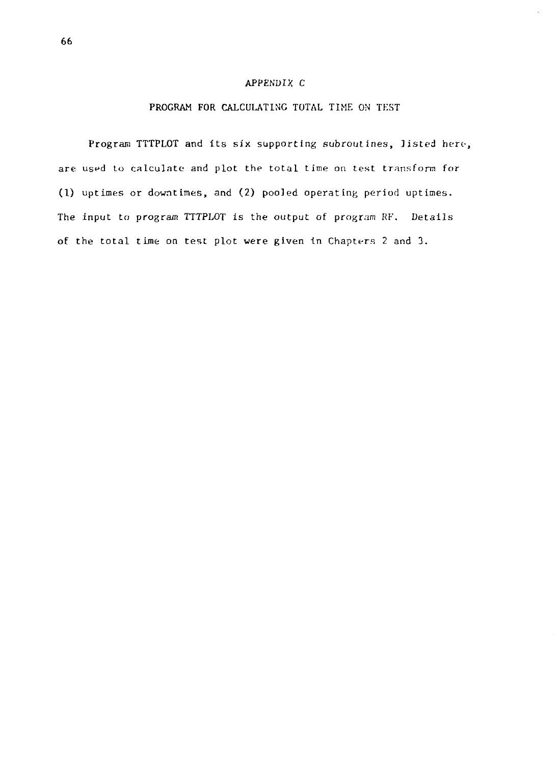# APPENDIX C

# PROGRAM FOR CALCULATING TOTAL TIME ON TEST

Program TTTPLOT and its six supporting subroutines, listed here, are used to calculate and plot the total time on test transform for (1) uptimes or downtimes, and (2) pooled operating period uptimes. The input to program TTTPLOT is the output of program RF. Details of the total time on test plot were given in Chapters 2 and 3.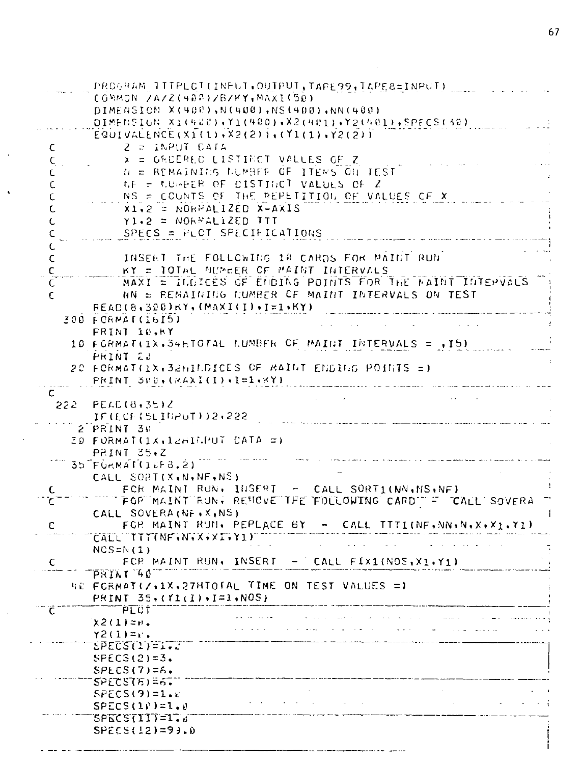|   |                                             | PROGRAM ITTPLCT(INFUT.OUTPUT.TAPE99.TAPE8=INPUT)         |
|---|---------------------------------------------|----------------------------------------------------------|
|   | COMMON ZAZZ(408)ZBZKY,MAXI(50)              |                                                          |
|   | DIMENSION X(400),N(400),NS(400),NN(400)     |                                                          |
|   |                                             |                                                          |
|   |                                             | DIMENSION X1(400),Y1(400),X2(401),Y2(401),SPECS(30)      |
|   | $EQUIVALENCE(X1(1), X2(2)); (Y1(1), Y2(2))$ |                                                          |
| C | 2 ≃ iNPUT CATA                              |                                                          |
| c |                                             | x = GROERED LISTINCT VALLES OF Z                         |
| C |                                             | N = REMAINING NUMBER OF ITEMS ON TEST.                   |
| С |                                             | AF = MUHEER OF DISTINCT VALUES OF 2                      |
| C |                                             | NS = COUNTS OF THE REPETITION OF VALUES OF X             |
|   |                                             |                                                          |
| C | $x1, 2 = \text{NOKNALIED } x - AXIS$        |                                                          |
| L | Y1,2 = NORPALIZED TTT                       |                                                          |
| c | SPECS = $FLOT$ SPECIFICATIONS               |                                                          |
| L |                                             |                                                          |
| C |                                             | INSENT THE FOLLOWING 18 CARDS FOR MAINT RUN.             |
| c |                                             | KY = TOTAL MUMBER OF MAINT INTERVALS                     |
| C |                                             | MAXI = ILDICES OF ENDING POINTS FOR THE MAINT INTEMVALS  |
|   |                                             | NN = REMAINING NUMBER OF MAINT INTERVALS ON TEST         |
| c |                                             |                                                          |
|   | $REAC(B, 300)$ KY, $(MAXI(I), I=1*KY)$      |                                                          |
|   | 200 FORMAT(1615)                            |                                                          |
|   | <b>FRINT IB.RY</b>                          |                                                          |
|   |                                             | 10 FORMAT(1), SHETOTAL NUMBER OF MAINT INTERVALS = ,15)  |
|   | PRINT 23                                    |                                                          |
|   |                                             | 20 FORMAT(1X,32HILDICES OF MAINT ENDING POINTS =)        |
|   | PRINT SHE, (MAXI(I), I=1, KY)               |                                                          |
|   |                                             |                                                          |
| C |                                             |                                                          |
|   | $222$ PEAC(8,35)Z                           |                                                          |
|   | IF(ECF(SLIGPUT))2+222                       |                                                          |
|   | 2 PRINT 30                                  |                                                          |
|   | 30 FORMAT(1x.12HITPUT CATA =)               |                                                          |
|   | PRINT 35.Z                                  |                                                          |
|   | 35 FÜRMAT(1LF8.2)                           |                                                          |
|   | CALL SORT(X,N,NF,NS)                        |                                                          |
| С |                                             | FCR MAINT RUN. INSERT - CALL SORT1(NN.MS.NF)             |
| C |                                             | FOR MAINT RUN, REMOVE THE FOLLOWING CARD THE CALL SOVERA |
|   | CALL SOVERA (NF . X, NS)                    |                                                          |
| c | FOR MAINT RUN, PEPLACE BY -                 | CALL $ITTI(NF, NN, N, X, X_1, Y_1)$                      |
|   |                                             |                                                          |
|   | CALL TITINF W.X.XI.Y1)                      |                                                          |
|   | $NCS = N(1)$                                |                                                          |
| c |                                             | FCP MAINT RUN. INSERT $-$ Call FIX1(NOS, X1.Y1)          |
|   | PRINT 40                                    |                                                          |
|   |                                             | 4E FORMAT(/+1X+27HTOTAL TIME ON TEST VALUES =)           |
|   | PRINT $35 \cdot (11) \cdot 1 = 1 \cdot NOS$ |                                                          |
| с | PLUT                                        |                                                          |
|   | $x2(1)$ =n.                                 |                                                          |
|   | $Y2(1) = 1$ .                               |                                                          |
|   | SPECS(1)=1.2                                |                                                          |
|   | SPECS(2)=3.                                 |                                                          |
|   |                                             |                                                          |
|   | $SPECS(7)=6.$                               |                                                          |
|   | 5PEC578)=6.                                 |                                                          |
|   | $SPECS(9)=1.0$                              | <b>Contractor</b>                                        |
|   | SPECS(li)=l.0                               |                                                          |
|   | <b>SPECS(11)=1.</b>                         |                                                          |
|   | SPECS(12)=9).D                              |                                                          |
|   |                                             |                                                          |
|   |                                             |                                                          |

 $\ddot{\phantom{a}}$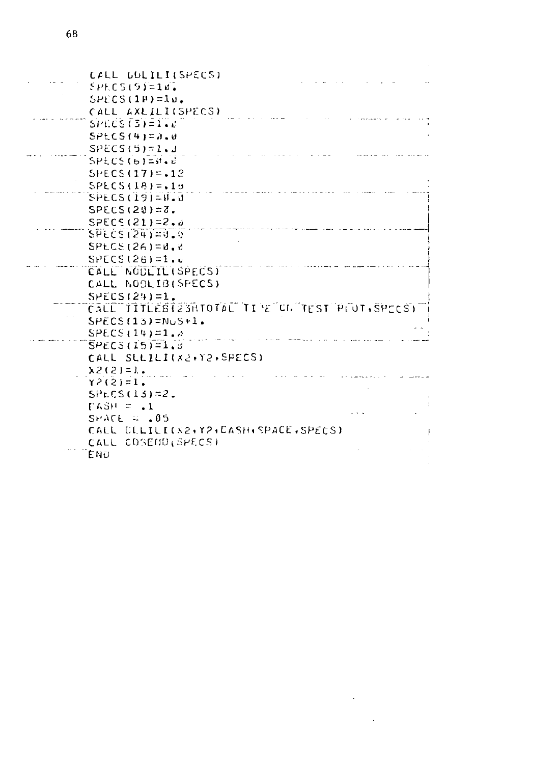| CALL GULILI(SPECS)<br>$SPECS(9) = 10$ .<br>$SPECS(1P)=10$ .      |  |
|------------------------------------------------------------------|--|
| CALL AXLILI(SPECS)<br>$SPECS(3)=1.0$                             |  |
| $SPECS(4) = 0.0$                                                 |  |
| $SPECS(S) = 1.1$                                                 |  |
| SPECS(G)                                                         |  |
| $SFECS(17) = .12$                                                |  |
| $SPECS(18)=.15$                                                  |  |
| $SPECS(19)=0.0$                                                  |  |
| $SPECS(20)=7$ .                                                  |  |
| $SPEC5(21)=2.4$                                                  |  |
| $SPECS(24)=0.9$                                                  |  |
| $SPLCS(26) = d \cdot d$                                          |  |
| $SPECS(26)=1.0$                                                  |  |
| CALL NODEIL(SPECS)                                               |  |
| CALL NOOLIB(SPECS)                                               |  |
| $SPECS(24)=1$ .<br>CALL TITLEBI23HTOTAL TI'E UN TEST PLOT SPECS: |  |
| $SPECS(13)=NUS+1$ .                                              |  |
| $SPECS(14)=1.5$                                                  |  |
| $SPECS(15)=1.9$                                                  |  |
| CALL SLLILI(X2+Y2+SPECS)                                         |  |
| $\lambda$ 2(2) = 1.                                              |  |
| $Y^2(2)=1$ .                                                     |  |
| $SPLCS(13)=2$ .                                                  |  |
| $PASH = -1$                                                      |  |
| $SRACT \approx .05$                                              |  |
| CALL CLLILI(X2+Y2+CASH+SPACE+SPECS)                              |  |
| CALL COSEND SPECS)                                               |  |
| ENŪ                                                              |  |

 $\label{eq:2.1} \frac{1}{\sqrt{2}}\left(\frac{1}{\sqrt{2}}\right)^{2} \left(\frac{1}{\sqrt{2}}\right)^{2} \left(\frac{1}{\sqrt{2}}\right)^{2} \left(\frac{1}{\sqrt{2}}\right)^{2} \left(\frac{1}{\sqrt{2}}\right)^{2} \left(\frac{1}{\sqrt{2}}\right)^{2} \left(\frac{1}{\sqrt{2}}\right)^{2} \left(\frac{1}{\sqrt{2}}\right)^{2} \left(\frac{1}{\sqrt{2}}\right)^{2} \left(\frac{1}{\sqrt{2}}\right)^{2} \left(\frac{1}{\sqrt{2}}\right)^{2} \left(\$  $\sim 10^{-1}$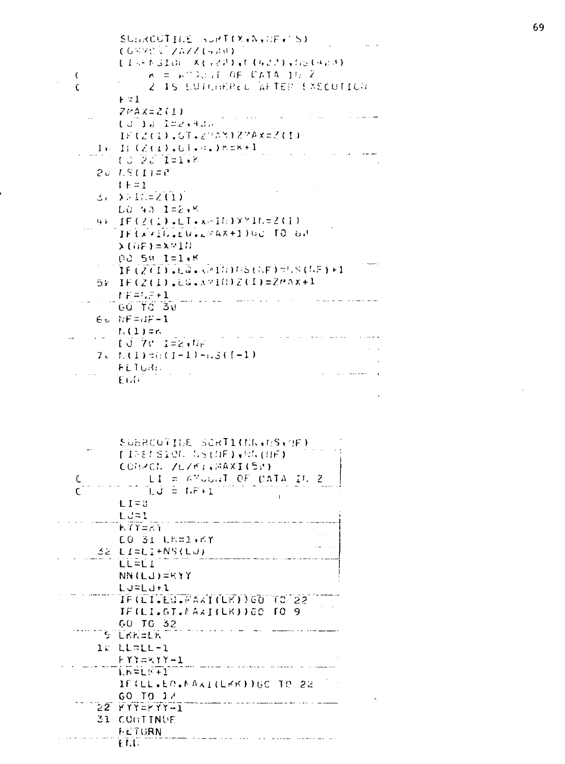|        | SUDROUTILE SURT(X+N+HF+1S)                                                          |
|--------|-------------------------------------------------------------------------------------|
|        | てんぶれい ブラムノて(チョョ)                                                                    |
|        | しまっともるまのに、メイラできます(などさますもとしゅとき)                                                      |
| C<br>C | $\kappa = \mu \text{C}$ of the CATA 10 $\lambda$<br>2. IS SUTCHEREL AFTER EXECUTION |
|        | ⊦=1                                                                                 |
|        | ZMAX=2(1)                                                                           |
|        | $UU = 1.5 - 1.22 + 9.05$                                                            |
|        | IE(2(1)。GT。23AN)27Aメニ2(I)                                                           |
|        | $I: (2(1), 01, 01)$ hex+1<br>ļь.                                                    |
|        | 10-20-1=1+K                                                                         |
|        | 20 I.S (I)=2                                                                        |
|        | $1 + = 1$                                                                           |
|        | $\Sigma$ Ii. = 2(1)<br>، ئ                                                          |
|        | LO 43 1=2.K                                                                         |
|        | _IE(2(1).EI.***IE)XXIC=2(1)<br>4 F                                                  |
|        | IFIXYID.EU.LYAX+1)00 TO 60                                                          |
|        | $\lambda$ (OF)=XV18                                                                 |
|        | DO 54 1=1.K<br>IF(2(I),LG, (MID)DS(GF)=US(GF)+1                                     |
|        | 57 IF(2(I),EG,XVIO)2(I)=2MAX+1                                                      |
|        | わおきしき+1                                                                             |
|        | 60T <sup>2</sup> 30                                                                 |
|        | 65 NF=dF-1                                                                          |
|        | れくようにん                                                                              |
|        | [J 70 I=2.NP                                                                        |
|        | 7. h(I)=0(I-1)-n3([-1)                                                              |
|        | トモエしさい                                                                              |
|        | Eufr                                                                                |
|        |                                                                                     |
|        |                                                                                     |
|        |                                                                                     |
|        | SUBROUTINE SCRIICHLIS. MF)                                                          |
|        | LIPELSION WS (UF), RW (UF)                                                          |
|        | COGPCに フレフドィップAXI(53)                                                               |
|        | $LI = A$ <sup>V</sup> $\cup$ $U$ <sub>i</sub> T OF CATA IL 2                        |
|        | $U = UF + I$                                                                        |
|        | $LT = 3$                                                                            |
|        | しじこし                                                                                |
|        | KĭY≡kì                                                                              |
|        | DO 31 LR=1∙KY                                                                       |
|        | 32 LI≃LI+NS(Lu)                                                                     |
|        | LL≃LI                                                                               |
|        | NN(LJ)=KYY<br>$LJ = LJ + 1$                                                         |
|        | IF(LI.EQ.MAXI(LK))GO TO 22                                                          |
|        | $IFLLI, GT, PAXI (LK)$ ) GO<br>TO 9                                                 |
|        | GO TG 1<br>32                                                                       |
|        | 91<br>LKK=LK                                                                        |
|        | LL≈LL-1<br>1 L I                                                                    |
|        | ⊦Yì=≺⊺Y-1                                                                           |
|        | $Ln = Lk + 1$                                                                       |
|        | IF(LL∙EO∙FA⊼I(LKK))GC TO 22                                                         |
|        | 60 TO 17                                                                            |
|        | <b><i>FYY=FYY-1</i></b><br>22.                                                      |
|        | 31.<br>CONTINUE                                                                     |
|        |                                                                                     |
|        | RETURN<br>ETA:                                                                      |

l.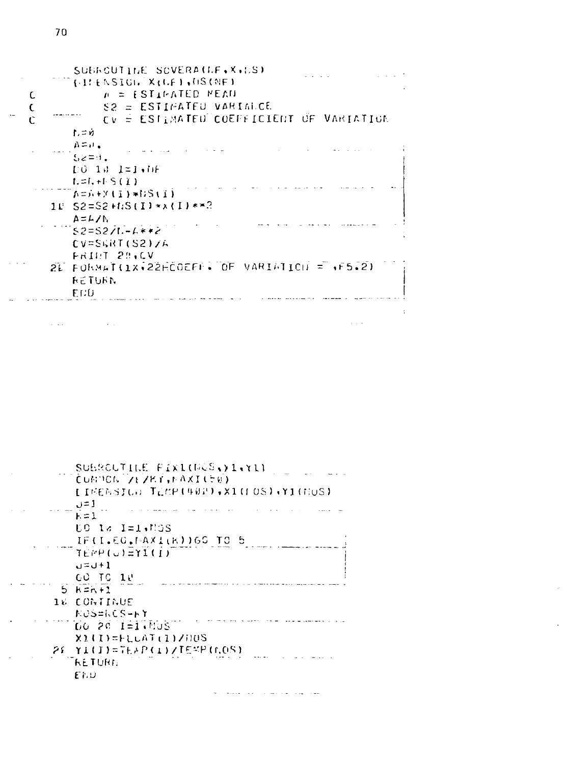| SUBROUTINE SOVERATLE, X, DS)<br><b>IFILENSIGN XILEI JUSINEI</b> |
|-----------------------------------------------------------------|
| $p =$ [STIMATED MEAD                                            |
| S2 = ESTIMATED VARIALCE                                         |
| <b>CV = ESTIMATED COEFFICIENT OF VARIATION</b>                  |
| $L = 0$                                                         |
| $A = H$ .                                                       |
| $52 = 1$ .                                                      |
| $E \theta$ 10 $I = I \bullet I$ F                               |
| $t = 1, +1, S(1)$                                               |
| ๊ A=ภ+Ytī)*6Stī)                                                |
| $10$ S2=S2+NS(I)**(I)**3                                        |
| ムームノト                                                           |
| $52=527-1+7$                                                    |
| CV=SGRT(S2)/A                                                   |
| FRIDT 20,CV                                                     |
| 2L FORMAT(1X+22HCOEFF+ OF VARIATION = +F5.2)                    |
|                                                                 |
| れさしょうれ                                                          |
| FED                                                             |

SUBROUTINE FIXINGGS. (1.Y1) CUNNON ZEZKY, MAXI(50) [INENSIG: TEMP(402),X1(FOS),Y1(HOS)  $J=1$  $\frac{1}{k} = \frac{1}{k}$  $\mathcal{A}(\mathbf{a})$  and  $\mathbf{a}(\mathbf{a})$  and  $\mathcal{A}(\mathbf{a})$ **UC 18 I=1,MGS** IF(I.EO.MAXI(K))60 TO 5  $TEHP(G)ETIGF$  $1+U = U$ GO TO 18  $5K=1$ 16 CONTINUE NUS=NCS-HY DO 20 1-17505  $X1(1)$ =FLCAT(1)/00S 2E YI(I)=TEAP(I)/TEMP(GOS) **RETURE**  $EED$ 

 $\sim 10$ 

 $\bar{q}$  ,  $\bar{q}$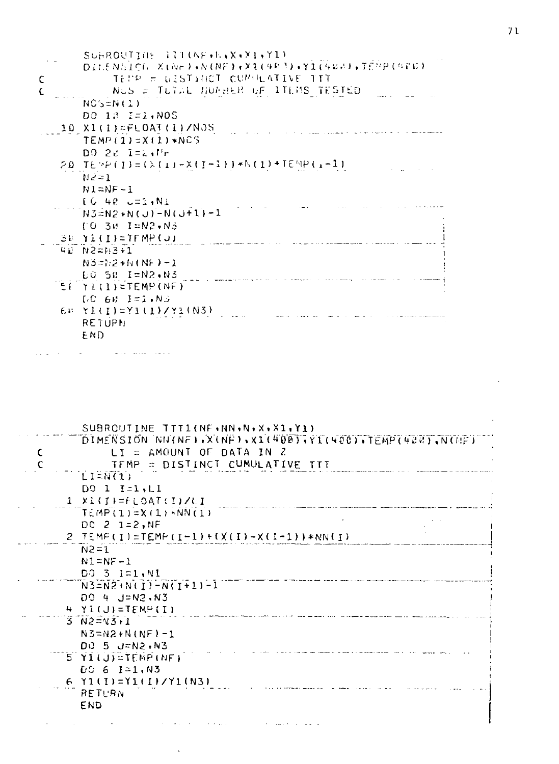|    | SUBROUTTHE 111(NFAA, X, X1, Y1)                     |
|----|-----------------------------------------------------|
|    | DILENSICH XINE) (NE) (XIII483) (YII488) (TEMP (486) |
| C  | TEMP = WISTINGT CUMMEATIVE TIT                      |
| £. | NUS = TUTAL NORBER OF ITEMS TESTED                  |
|    | $NC(>=N(1))$                                        |
|    |                                                     |
|    | DC 13 I=1,NOS                                       |
|    | 10 X1(I)=FLOAT(I)/NOS                               |
|    | $TEMP(1)=X(1)*NCS$                                  |
|    | $DQ = 2d$ $I = 2dHr$                                |
|    | $20$ TEMP(I)=(X(I)-X(I-1))*N(I)+TEMP(I-1)           |
|    | - N 2 = 1                                           |
|    | $N1 = NF - 1$                                       |
|    | $[6 48$ $-1.01$                                     |
|    | $N3 = N2 + N(U) - N(U+1) - 1$                       |
|    | $TO$ 30 $I = N2 \cdot N5$                           |
|    | $SE[YI(I) = TFMP(J)]$                               |
|    | 42 N2=H3+1                                          |
|    | $N3 = 2 + 4 (N_F) - 1$                              |
|    | LO 58 I=N2.N3                                       |
|    | <b>EE YI(I)=TEMP(NF)</b>                            |
|    | $DC$ 68 $I = 1.00$                                  |
|    | $E_E$ $\lambda T(I) = \lambda T(I)/\lambda T(M2)$   |
|    | <b>RETUPN</b>                                       |
|    | END                                                 |
|    |                                                     |

فتحد مطلوبيتها والمنابع الرابي

| C. | SUBROUTINE TITI(NF.NN.N.X.XI.Y1)<br>DIMENSION NN(NE), X(NE), X1(400), Y1(400), TEMP(488), N(NE)<br>$LI = AMOUNT$ OF DATA IN Z<br>TEMP = DISTINCT CUMULATIVE TTT |
|----|-----------------------------------------------------------------------------------------------------------------------------------------------------------------|
|    | $L1 = N(1)$                                                                                                                                                     |
|    | $DQ \t1 I = 1 I$                                                                                                                                                |
|    | $1$ $\times$ 1(I)=FLOAT(I)/LI                                                                                                                                   |
|    | $TEMP(1)=X(1)*NN(1)$                                                                                                                                            |
|    | DC 2 1=2, NF                                                                                                                                                    |
|    | $2$ TEMP(I)=TEMP(I-1)+(X(I)-X(I-1))*NN(I)                                                                                                                       |
|    | $N^2 = 7$                                                                                                                                                       |
|    | $N1 = NF - 1$                                                                                                                                                   |
|    | DO 3 I=1, N1                                                                                                                                                    |
|    | $N3 = N2 + N(T) - N(T + 1) - 1$                                                                                                                                 |
|    | DO 4 J=N2, N3                                                                                                                                                   |
|    | $4 Y1(J)=TEMP(T)$                                                                                                                                               |
|    | $3 N2 = N3 + 1$                                                                                                                                                 |
|    | $N3 = N2 + N(NF) - 1$                                                                                                                                           |
|    | DO 5 J=N2,N3                                                                                                                                                    |
|    | $5 Y1(J) = TEMP(NF)$                                                                                                                                            |
|    | $00651=.03$                                                                                                                                                     |
|    | $6$ $Y1(I)=Y1(I)/Y1(N3)$                                                                                                                                        |
|    | RETURN                                                                                                                                                          |
|    | <b>END</b>                                                                                                                                                      |
|    |                                                                                                                                                                 |

الإنفق والمفسر والمنادي المستوفى المناولات المنادي المنافر المنادي والمنادي

 $\sim$   $\sim$ 

## $71$

 $\mathcal{L}^{\text{max}}_{\text{max}}$ 

 $\sim 100$